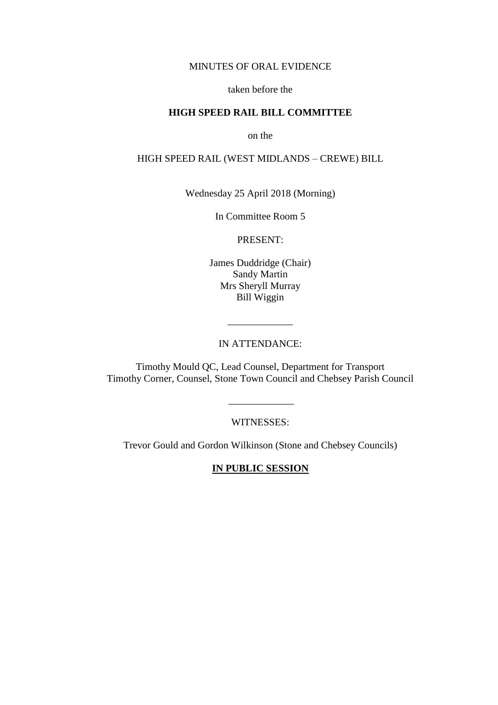# MINUTES OF ORAL EVIDENCE

# taken before the

# **HIGH SPEED RAIL BILL COMMITTEE**

on the

# HIGH SPEED RAIL (WEST MIDLANDS – CREWE) BILL

Wednesday 25 April 2018 (Morning)

In Committee Room 5

PRESENT:

James Duddridge (Chair) Sandy Martin Mrs Sheryll Murray Bill Wiggin

# IN ATTENDANCE:

\_\_\_\_\_\_\_\_\_\_\_\_\_

Timothy Mould QC, Lead Counsel, Department for Transport Timothy Corner, Counsel, Stone Town Council and Chebsey Parish Council

WITNESSES:

\_\_\_\_\_\_\_\_\_\_\_\_\_

Trevor Gould and Gordon Wilkinson (Stone and Chebsey Councils)

**IN PUBLIC SESSION**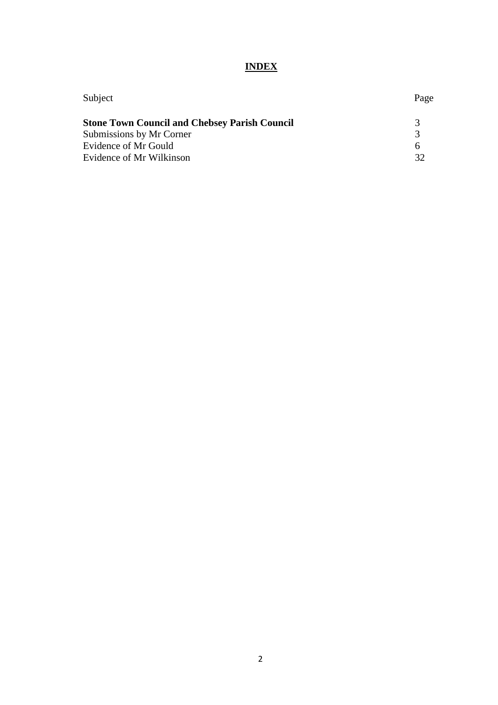# **INDEX**

| Subject                                              | Page |
|------------------------------------------------------|------|
| <b>Stone Town Council and Chebsey Parish Council</b> |      |
| Submissions by Mr Corner                             |      |
| Evidence of Mr Gould                                 | h    |
| Evidence of Mr Wilkinson                             |      |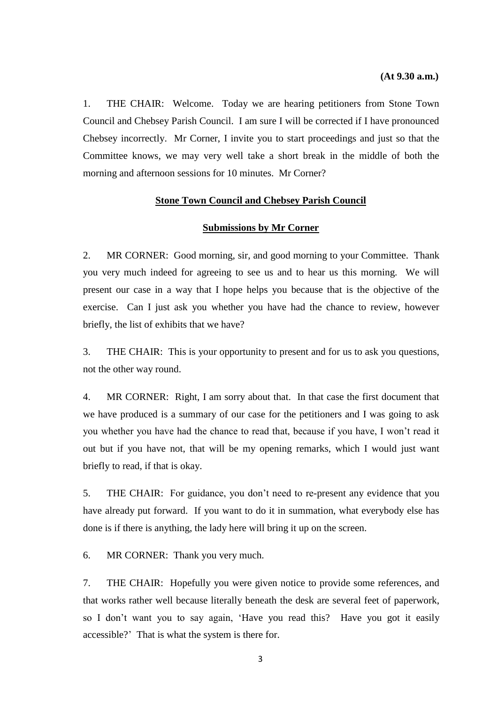1. THE CHAIR: Welcome. Today we are hearing petitioners from Stone Town Council and Chebsey Parish Council. I am sure I will be corrected if I have pronounced Chebsey incorrectly. Mr Corner, I invite you to start proceedings and just so that the Committee knows, we may very well take a short break in the middle of both the morning and afternoon sessions for 10 minutes. Mr Corner?

### **Stone Town Council and Chebsey Parish Council**

# **Submissions by Mr Corner**

<span id="page-2-1"></span><span id="page-2-0"></span>2. MR CORNER: Good morning, sir, and good morning to your Committee. Thank you very much indeed for agreeing to see us and to hear us this morning. We will present our case in a way that I hope helps you because that is the objective of the exercise. Can I just ask you whether you have had the chance to review, however briefly, the list of exhibits that we have?

3. THE CHAIR: This is your opportunity to present and for us to ask you questions, not the other way round.

4. MR CORNER: Right, I am sorry about that. In that case the first document that we have produced is a summary of our case for the petitioners and I was going to ask you whether you have had the chance to read that, because if you have, I won't read it out but if you have not, that will be my opening remarks, which I would just want briefly to read, if that is okay.

5. THE CHAIR: For guidance, you don't need to re-present any evidence that you have already put forward. If you want to do it in summation, what everybody else has done is if there is anything, the lady here will bring it up on the screen.

6. MR CORNER: Thank you very much.

7. THE CHAIR: Hopefully you were given notice to provide some references, and that works rather well because literally beneath the desk are several feet of paperwork, so I don't want you to say again, 'Have you read this? Have you got it easily accessible?' That is what the system is there for.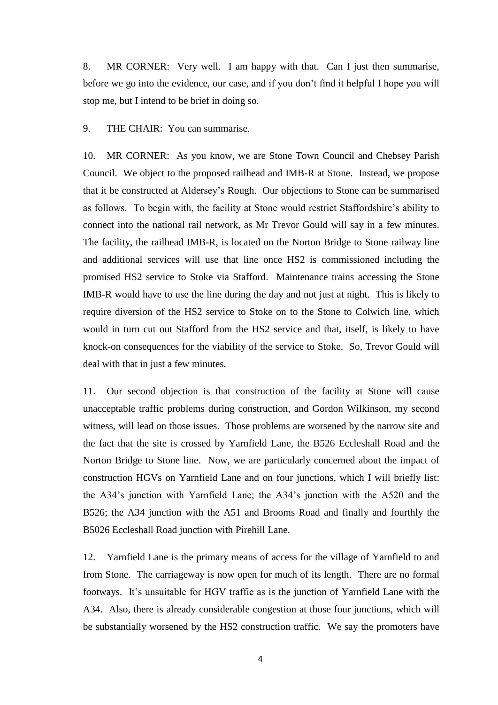8. MR CORNER: Very well. I am happy with that. Can I just then summarise, before we go into the evidence, our case, and if you don't find it helpful I hope you will stop me, but I intend to be brief in doing so.

# 9. THE CHAIR: You can summarise.

10. MR CORNER: As you know, we are Stone Town Council and Chebsey Parish Council. We object to the proposed railhead and IMB-R at Stone. Instead, we propose that it be constructed at Aldersey's Rough. Our objections to Stone can be summarised as follows. To begin with, the facility at Stone would restrict Staffordshire's ability to connect into the national rail network, as Mr Trevor Gould will say in a few minutes. The facility, the railhead IMB-R, is located on the Norton Bridge to Stone railway line and additional services will use that line once HS2 is commissioned including the promised HS2 service to Stoke via Stafford. Maintenance trains accessing the Stone IMB-R would have to use the line during the day and not just at night. This is likely to require diversion of the HS2 service to Stoke on to the Stone to Colwich line, which would in turn cut out Stafford from the HS2 service and that, itself, is likely to have knock-on consequences for the viability of the service to Stoke. So, Trevor Gould will deal with that in just a few minutes.

11. Our second objection is that construction of the facility at Stone will cause unacceptable traffic problems during construction, and Gordon Wilkinson, my second witness, will lead on those issues. Those problems are worsened by the narrow site and the fact that the site is crossed by Yarnfield Lane, the B526 Eccleshall Road and the Norton Bridge to Stone line. Now, we are particularly concerned about the impact of construction HGVs on Yarnfield Lane and on four junctions, which I will briefly list: the A34's junction with Yarnfield Lane; the A34's junction with the A520 and the B526; the A34 junction with the A51 and Brooms Road and finally and fourthly the B5026 Eccleshall Road junction with Pirehill Lane.

12. Yarnfield Lane is the primary means of access for the village of Yarnfield to and from Stone. The carriageway is now open for much of its length. There are no formal footways. It's unsuitable for HGV traffic as is the junction of Yarnfield Lane with the A34. Also, there is already considerable congestion at those four junctions, which will be substantially worsened by the HS2 construction traffic. We say the promoters have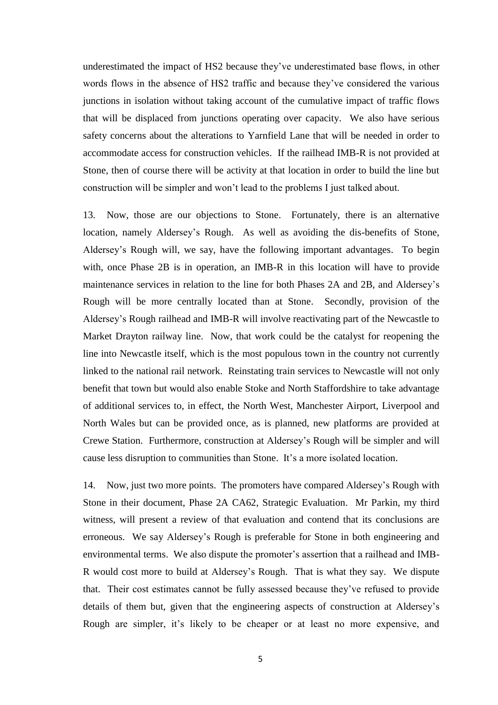underestimated the impact of HS2 because they've underestimated base flows, in other words flows in the absence of HS2 traffic and because they've considered the various junctions in isolation without taking account of the cumulative impact of traffic flows that will be displaced from junctions operating over capacity. We also have serious safety concerns about the alterations to Yarnfield Lane that will be needed in order to accommodate access for construction vehicles. If the railhead IMB-R is not provided at Stone, then of course there will be activity at that location in order to build the line but construction will be simpler and won't lead to the problems I just talked about.

13. Now, those are our objections to Stone. Fortunately, there is an alternative location, namely Aldersey's Rough. As well as avoiding the dis-benefits of Stone, Aldersey's Rough will, we say, have the following important advantages. To begin with, once Phase 2B is in operation, an IMB-R in this location will have to provide maintenance services in relation to the line for both Phases 2A and 2B, and Aldersey's Rough will be more centrally located than at Stone. Secondly, provision of the Aldersey's Rough railhead and IMB-R will involve reactivating part of the Newcastle to Market Drayton railway line. Now, that work could be the catalyst for reopening the line into Newcastle itself, which is the most populous town in the country not currently linked to the national rail network. Reinstating train services to Newcastle will not only benefit that town but would also enable Stoke and North Staffordshire to take advantage of additional services to, in effect, the North West, Manchester Airport, Liverpool and North Wales but can be provided once, as is planned, new platforms are provided at Crewe Station. Furthermore, construction at Aldersey's Rough will be simpler and will cause less disruption to communities than Stone. It's a more isolated location.

14. Now, just two more points. The promoters have compared Aldersey's Rough with Stone in their document, Phase 2A CA62, Strategic Evaluation. Mr Parkin, my third witness, will present a review of that evaluation and contend that its conclusions are erroneous. We say Aldersey's Rough is preferable for Stone in both engineering and environmental terms. We also dispute the promoter's assertion that a railhead and IMB-R would cost more to build at Aldersey's Rough. That is what they say. We dispute that. Their cost estimates cannot be fully assessed because they've refused to provide details of them but, given that the engineering aspects of construction at Aldersey's Rough are simpler, it's likely to be cheaper or at least no more expensive, and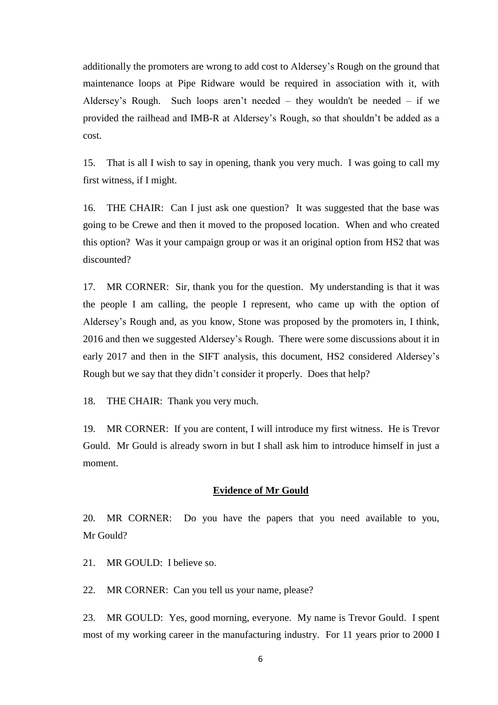additionally the promoters are wrong to add cost to Aldersey's Rough on the ground that maintenance loops at Pipe Ridware would be required in association with it, with Aldersey's Rough. Such loops aren't needed – they wouldn't be needed – if we provided the railhead and IMB-R at Aldersey's Rough, so that shouldn't be added as a cost.

15. That is all I wish to say in opening, thank you very much. I was going to call my first witness, if I might.

16. THE CHAIR: Can I just ask one question? It was suggested that the base was going to be Crewe and then it moved to the proposed location. When and who created this option? Was it your campaign group or was it an original option from HS2 that was discounted?

17. MR CORNER: Sir, thank you for the question. My understanding is that it was the people I am calling, the people I represent, who came up with the option of Aldersey's Rough and, as you know, Stone was proposed by the promoters in, I think, 2016 and then we suggested Aldersey's Rough. There were some discussions about it in early 2017 and then in the SIFT analysis, this document, HS2 considered Aldersey's Rough but we say that they didn't consider it properly. Does that help?

18. THE CHAIR: Thank you very much.

19. MR CORNER: If you are content, I will introduce my first witness. He is Trevor Gould. Mr Gould is already sworn in but I shall ask him to introduce himself in just a moment.

### **Evidence of Mr Gould**

<span id="page-5-0"></span>20. MR CORNER: Do you have the papers that you need available to you, Mr Gould?

21. MR GOULD: I believe so.

22. MR CORNER: Can you tell us your name, please?

23. MR GOULD: Yes, good morning, everyone. My name is Trevor Gould. I spent most of my working career in the manufacturing industry. For 11 years prior to 2000 I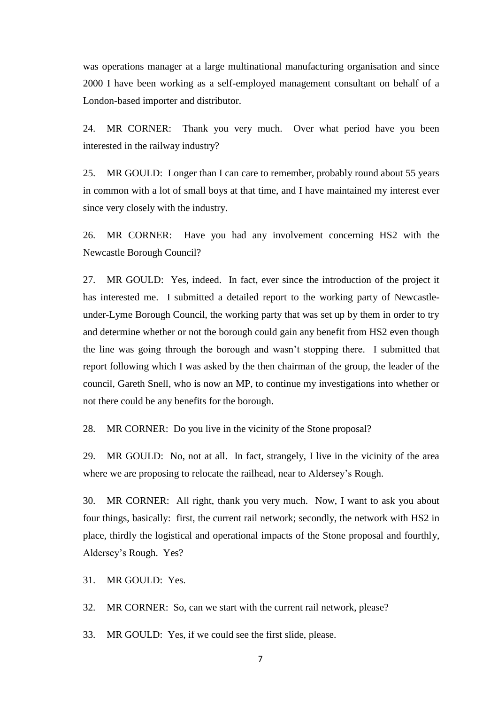was operations manager at a large multinational manufacturing organisation and since 2000 I have been working as a self-employed management consultant on behalf of a London-based importer and distributor.

24. MR CORNER: Thank you very much. Over what period have you been interested in the railway industry?

25. MR GOULD: Longer than I can care to remember, probably round about 55 years in common with a lot of small boys at that time, and I have maintained my interest ever since very closely with the industry.

26. MR CORNER: Have you had any involvement concerning HS2 with the Newcastle Borough Council?

27. MR GOULD: Yes, indeed. In fact, ever since the introduction of the project it has interested me. I submitted a detailed report to the working party of Newcastleunder-Lyme Borough Council, the working party that was set up by them in order to try and determine whether or not the borough could gain any benefit from HS2 even though the line was going through the borough and wasn't stopping there. I submitted that report following which I was asked by the then chairman of the group, the leader of the council, Gareth Snell, who is now an MP, to continue my investigations into whether or not there could be any benefits for the borough.

28. MR CORNER: Do you live in the vicinity of the Stone proposal?

29. MR GOULD: No, not at all. In fact, strangely, I live in the vicinity of the area where we are proposing to relocate the railhead, near to Aldersey's Rough.

30. MR CORNER: All right, thank you very much. Now, I want to ask you about four things, basically: first, the current rail network; secondly, the network with HS2 in place, thirdly the logistical and operational impacts of the Stone proposal and fourthly, Aldersey's Rough. Yes?

31. MR GOULD: Yes.

32. MR CORNER: So, can we start with the current rail network, please?

33. MR GOULD: Yes, if we could see the first slide, please.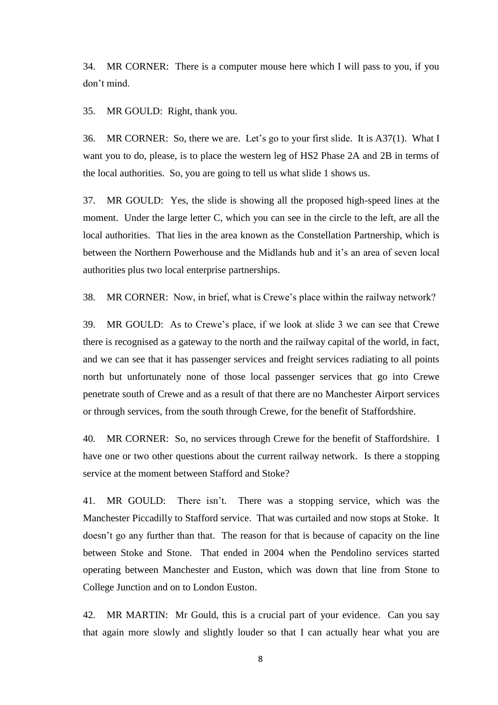34. MR CORNER: There is a computer mouse here which I will pass to you, if you don't mind.

35. MR GOULD: Right, thank you.

36. MR CORNER: So, there we are. Let's go to your first slide. It is A37(1). What I want you to do, please, is to place the western leg of HS2 Phase 2A and 2B in terms of the local authorities. So, you are going to tell us what slide 1 shows us.

37. MR GOULD: Yes, the slide is showing all the proposed high-speed lines at the moment. Under the large letter C, which you can see in the circle to the left, are all the local authorities. That lies in the area known as the Constellation Partnership, which is between the Northern Powerhouse and the Midlands hub and it's an area of seven local authorities plus two local enterprise partnerships.

38. MR CORNER: Now, in brief, what is Crewe's place within the railway network?

39. MR GOULD: As to Crewe's place, if we look at slide 3 we can see that Crewe there is recognised as a gateway to the north and the railway capital of the world, in fact, and we can see that it has passenger services and freight services radiating to all points north but unfortunately none of those local passenger services that go into Crewe penetrate south of Crewe and as a result of that there are no Manchester Airport services or through services, from the south through Crewe, for the benefit of Staffordshire.

40. MR CORNER: So, no services through Crewe for the benefit of Staffordshire. I have one or two other questions about the current railway network. Is there a stopping service at the moment between Stafford and Stoke?

41. MR GOULD: There isn't. There was a stopping service, which was the Manchester Piccadilly to Stafford service. That was curtailed and now stops at Stoke. It doesn't go any further than that. The reason for that is because of capacity on the line between Stoke and Stone. That ended in 2004 when the Pendolino services started operating between Manchester and Euston, which was down that line from Stone to College Junction and on to London Euston.

42. MR MARTIN: Mr Gould, this is a crucial part of your evidence. Can you say that again more slowly and slightly louder so that I can actually hear what you are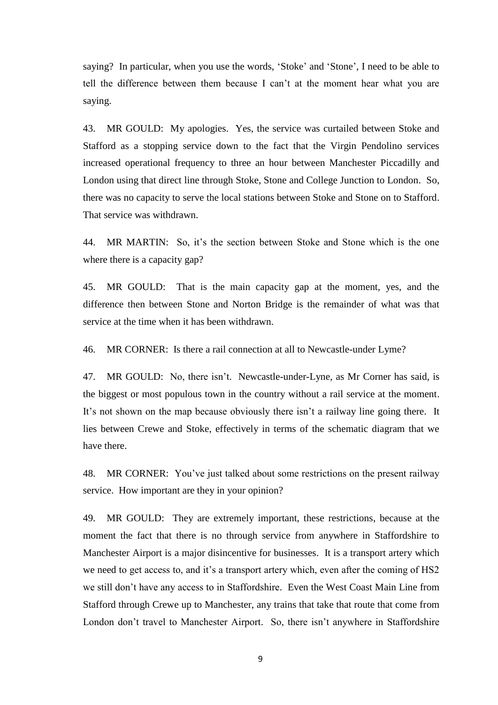saying? In particular, when you use the words, 'Stoke' and 'Stone', I need to be able to tell the difference between them because I can't at the moment hear what you are saying.

43. MR GOULD: My apologies. Yes, the service was curtailed between Stoke and Stafford as a stopping service down to the fact that the Virgin Pendolino services increased operational frequency to three an hour between Manchester Piccadilly and London using that direct line through Stoke, Stone and College Junction to London. So, there was no capacity to serve the local stations between Stoke and Stone on to Stafford. That service was withdrawn.

44. MR MARTIN: So, it's the section between Stoke and Stone which is the one where there is a capacity gap?

45. MR GOULD: That is the main capacity gap at the moment, yes, and the difference then between Stone and Norton Bridge is the remainder of what was that service at the time when it has been withdrawn.

46. MR CORNER: Is there a rail connection at all to Newcastle-under Lyme?

47. MR GOULD: No, there isn't. Newcastle-under-Lyne, as Mr Corner has said, is the biggest or most populous town in the country without a rail service at the moment. It's not shown on the map because obviously there isn't a railway line going there. It lies between Crewe and Stoke, effectively in terms of the schematic diagram that we have there.

48. MR CORNER: You've just talked about some restrictions on the present railway service. How important are they in your opinion?

49. MR GOULD: They are extremely important, these restrictions, because at the moment the fact that there is no through service from anywhere in Staffordshire to Manchester Airport is a major disincentive for businesses. It is a transport artery which we need to get access to, and it's a transport artery which, even after the coming of HS2 we still don't have any access to in Staffordshire. Even the West Coast Main Line from Stafford through Crewe up to Manchester, any trains that take that route that come from London don't travel to Manchester Airport. So, there isn't anywhere in Staffordshire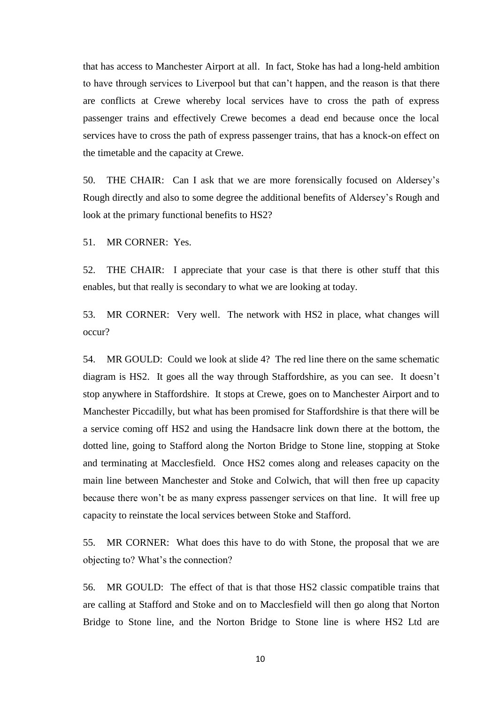that has access to Manchester Airport at all. In fact, Stoke has had a long-held ambition to have through services to Liverpool but that can't happen, and the reason is that there are conflicts at Crewe whereby local services have to cross the path of express passenger trains and effectively Crewe becomes a dead end because once the local services have to cross the path of express passenger trains, that has a knock-on effect on the timetable and the capacity at Crewe.

50. THE CHAIR: Can I ask that we are more forensically focused on Aldersey's Rough directly and also to some degree the additional benefits of Aldersey's Rough and look at the primary functional benefits to HS2?

51. MR CORNER: Yes.

52. THE CHAIR: I appreciate that your case is that there is other stuff that this enables, but that really is secondary to what we are looking at today.

53. MR CORNER: Very well. The network with HS2 in place, what changes will occur?

54. MR GOULD: Could we look at slide 4? The red line there on the same schematic diagram is HS2. It goes all the way through Staffordshire, as you can see. It doesn't stop anywhere in Staffordshire. It stops at Crewe, goes on to Manchester Airport and to Manchester Piccadilly, but what has been promised for Staffordshire is that there will be a service coming off HS2 and using the Handsacre link down there at the bottom, the dotted line, going to Stafford along the Norton Bridge to Stone line, stopping at Stoke and terminating at Macclesfield. Once HS2 comes along and releases capacity on the main line between Manchester and Stoke and Colwich, that will then free up capacity because there won't be as many express passenger services on that line. It will free up capacity to reinstate the local services between Stoke and Stafford.

55. MR CORNER: What does this have to do with Stone, the proposal that we are objecting to? What's the connection?

56. MR GOULD: The effect of that is that those HS2 classic compatible trains that are calling at Stafford and Stoke and on to Macclesfield will then go along that Norton Bridge to Stone line, and the Norton Bridge to Stone line is where HS2 Ltd are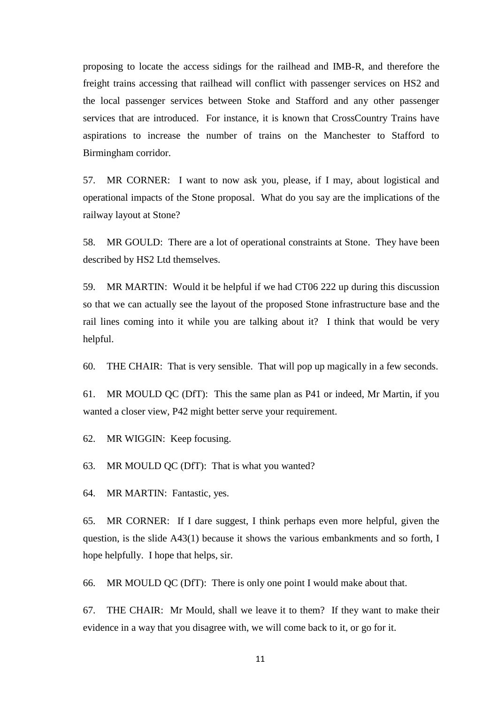proposing to locate the access sidings for the railhead and IMB-R, and therefore the freight trains accessing that railhead will conflict with passenger services on HS2 and the local passenger services between Stoke and Stafford and any other passenger services that are introduced. For instance, it is known that CrossCountry Trains have aspirations to increase the number of trains on the Manchester to Stafford to Birmingham corridor.

57. MR CORNER: I want to now ask you, please, if I may, about logistical and operational impacts of the Stone proposal. What do you say are the implications of the railway layout at Stone?

58. MR GOULD: There are a lot of operational constraints at Stone. They have been described by HS2 Ltd themselves.

59. MR MARTIN: Would it be helpful if we had CT06 222 up during this discussion so that we can actually see the layout of the proposed Stone infrastructure base and the rail lines coming into it while you are talking about it? I think that would be very helpful.

60. THE CHAIR: That is very sensible. That will pop up magically in a few seconds.

61. MR MOULD QC (DfT): This the same plan as P41 or indeed, Mr Martin, if you wanted a closer view, P42 might better serve your requirement.

62. MR WIGGIN: Keep focusing.

63. MR MOULD QC (DfT): That is what you wanted?

64. MR MARTIN: Fantastic, yes.

65. MR CORNER: If I dare suggest, I think perhaps even more helpful, given the question, is the slide  $A43(1)$  because it shows the various embankments and so forth, I hope helpfully. I hope that helps, sir.

66. MR MOULD QC (DfT): There is only one point I would make about that.

67. THE CHAIR: Mr Mould, shall we leave it to them? If they want to make their evidence in a way that you disagree with, we will come back to it, or go for it.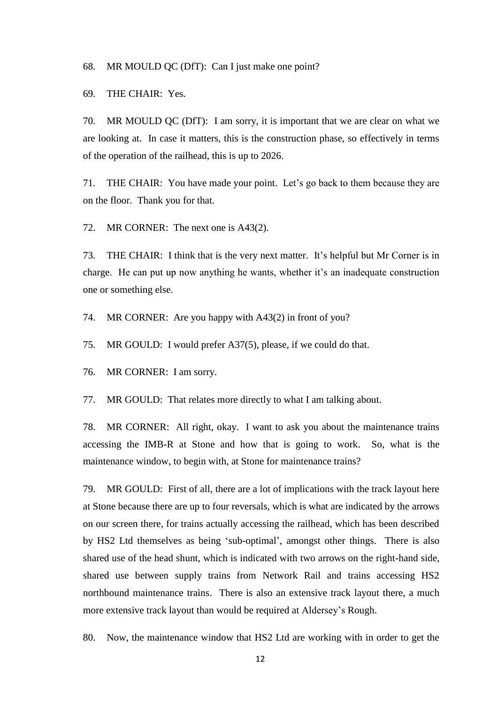68. MR MOULD QC (DfT): Can I just make one point?

69. THE CHAIR: Yes.

70. MR MOULD QC (DfT): I am sorry, it is important that we are clear on what we are looking at. In case it matters, this is the construction phase, so effectively in terms of the operation of the railhead, this is up to 2026.

71. THE CHAIR: You have made your point. Let's go back to them because they are on the floor. Thank you for that.

72. MR CORNER: The next one is A43(2).

73. THE CHAIR: I think that is the very next matter. It's helpful but Mr Corner is in charge. He can put up now anything he wants, whether it's an inadequate construction one or something else.

74. MR CORNER: Are you happy with A43(2) in front of you?

75. MR GOULD: I would prefer A37(5), please, if we could do that.

76. MR CORNER: I am sorry.

77. MR GOULD: That relates more directly to what I am talking about.

78. MR CORNER: All right, okay. I want to ask you about the maintenance trains accessing the IMB-R at Stone and how that is going to work. So, what is the maintenance window, to begin with, at Stone for maintenance trains?

79. MR GOULD: First of all, there are a lot of implications with the track layout here at Stone because there are up to four reversals, which is what are indicated by the arrows on our screen there, for trains actually accessing the railhead, which has been described by HS2 Ltd themselves as being 'sub-optimal', amongst other things. There is also shared use of the head shunt, which is indicated with two arrows on the right-hand side, shared use between supply trains from Network Rail and trains accessing HS2 northbound maintenance trains. There is also an extensive track layout there, a much more extensive track layout than would be required at Aldersey's Rough.

80. Now, the maintenance window that HS2 Ltd are working with in order to get the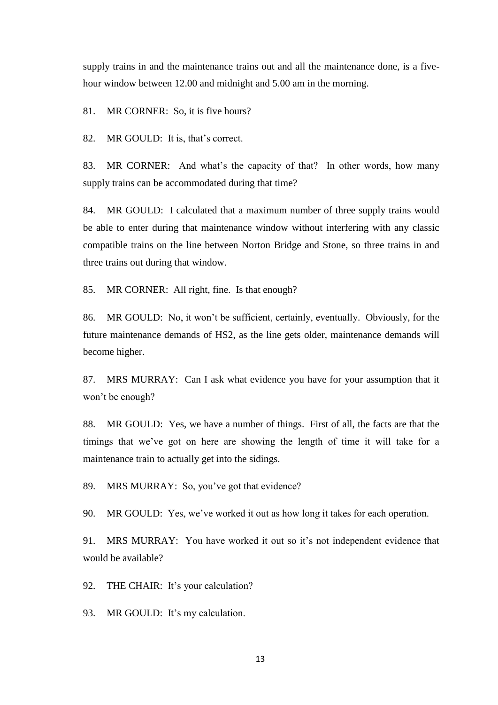supply trains in and the maintenance trains out and all the maintenance done, is a fivehour window between 12.00 and midnight and 5.00 am in the morning.

81. MR CORNER: So, it is five hours?

82. MR GOULD: It is, that's correct.

83. MR CORNER: And what's the capacity of that? In other words, how many supply trains can be accommodated during that time?

84. MR GOULD: I calculated that a maximum number of three supply trains would be able to enter during that maintenance window without interfering with any classic compatible trains on the line between Norton Bridge and Stone, so three trains in and three trains out during that window.

85. MR CORNER: All right, fine. Is that enough?

86. MR GOULD: No, it won't be sufficient, certainly, eventually. Obviously, for the future maintenance demands of HS2, as the line gets older, maintenance demands will become higher.

87. MRS MURRAY: Can I ask what evidence you have for your assumption that it won't be enough?

88. MR GOULD: Yes, we have a number of things. First of all, the facts are that the timings that we've got on here are showing the length of time it will take for a maintenance train to actually get into the sidings.

89. MRS MURRAY: So, you've got that evidence?

90. MR GOULD: Yes, we've worked it out as how long it takes for each operation.

91. MRS MURRAY: You have worked it out so it's not independent evidence that would be available?

92. THE CHAIR: It's your calculation?

93. MR GOULD: It's my calculation.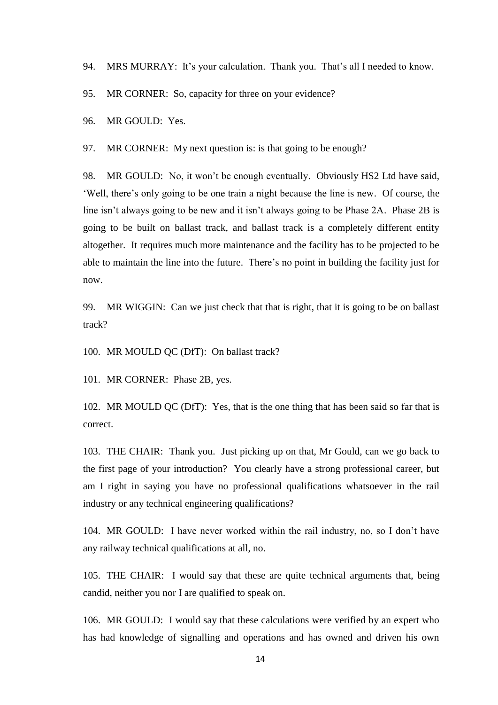94. MRS MURRAY: It's your calculation. Thank you. That's all I needed to know.

95. MR CORNER: So, capacity for three on your evidence?

96. MR GOULD: Yes.

97. MR CORNER: My next question is: is that going to be enough?

98. MR GOULD: No, it won't be enough eventually. Obviously HS2 Ltd have said, 'Well, there's only going to be one train a night because the line is new. Of course, the line isn't always going to be new and it isn't always going to be Phase 2A. Phase 2B is going to be built on ballast track, and ballast track is a completely different entity altogether. It requires much more maintenance and the facility has to be projected to be able to maintain the line into the future. There's no point in building the facility just for now.

99. MR WIGGIN: Can we just check that that is right, that it is going to be on ballast track?

100. MR MOULD QC (DfT): On ballast track?

101. MR CORNER: Phase 2B, yes.

102. MR MOULD QC (DfT): Yes, that is the one thing that has been said so far that is correct.

103. THE CHAIR: Thank you. Just picking up on that, Mr Gould, can we go back to the first page of your introduction? You clearly have a strong professional career, but am I right in saying you have no professional qualifications whatsoever in the rail industry or any technical engineering qualifications?

104. MR GOULD: I have never worked within the rail industry, no, so I don't have any railway technical qualifications at all, no.

105. THE CHAIR: I would say that these are quite technical arguments that, being candid, neither you nor I are qualified to speak on.

106. MR GOULD: I would say that these calculations were verified by an expert who has had knowledge of signalling and operations and has owned and driven his own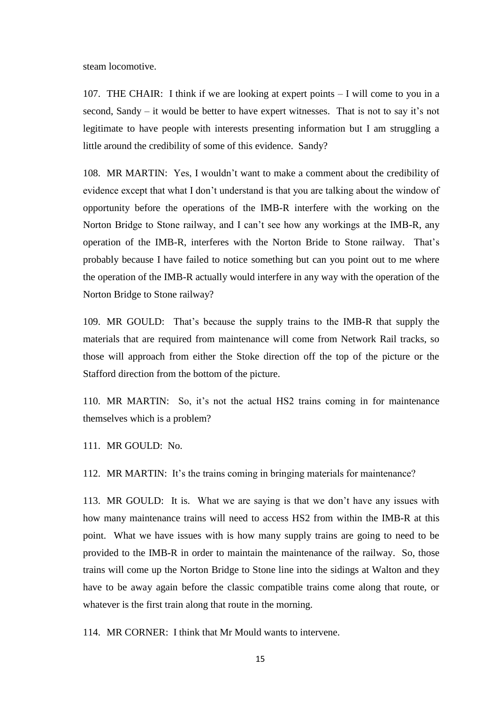steam locomotive.

107. THE CHAIR: I think if we are looking at expert points – I will come to you in a second, Sandy – it would be better to have expert witnesses. That is not to say it's not legitimate to have people with interests presenting information but I am struggling a little around the credibility of some of this evidence. Sandy?

108. MR MARTIN: Yes, I wouldn't want to make a comment about the credibility of evidence except that what I don't understand is that you are talking about the window of opportunity before the operations of the IMB-R interfere with the working on the Norton Bridge to Stone railway, and I can't see how any workings at the IMB-R, any operation of the IMB-R, interferes with the Norton Bride to Stone railway. That's probably because I have failed to notice something but can you point out to me where the operation of the IMB-R actually would interfere in any way with the operation of the Norton Bridge to Stone railway?

109. MR GOULD: That's because the supply trains to the IMB-R that supply the materials that are required from maintenance will come from Network Rail tracks, so those will approach from either the Stoke direction off the top of the picture or the Stafford direction from the bottom of the picture.

110. MR MARTIN: So, it's not the actual HS2 trains coming in for maintenance themselves which is a problem?

111. MR GOULD: No.

112. MR MARTIN: It's the trains coming in bringing materials for maintenance?

113. MR GOULD: It is. What we are saying is that we don't have any issues with how many maintenance trains will need to access HS2 from within the IMB-R at this point. What we have issues with is how many supply trains are going to need to be provided to the IMB-R in order to maintain the maintenance of the railway. So, those trains will come up the Norton Bridge to Stone line into the sidings at Walton and they have to be away again before the classic compatible trains come along that route, or whatever is the first train along that route in the morning.

114. MR CORNER: I think that Mr Mould wants to intervene.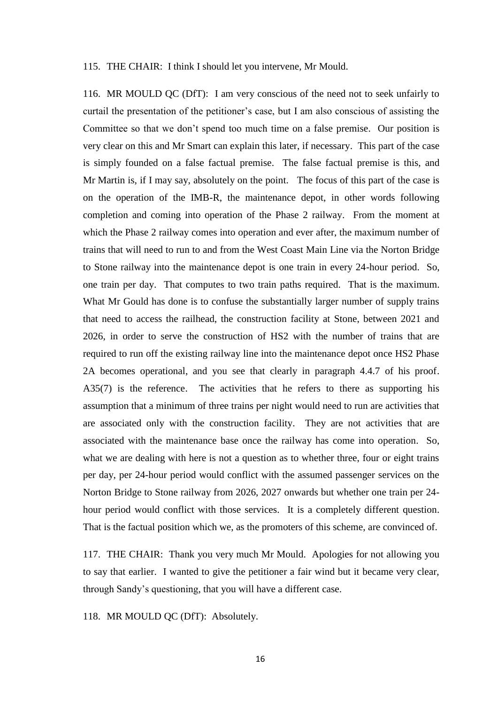### 115. THE CHAIR: I think I should let you intervene, Mr Mould.

116. MR MOULD QC (DfT): I am very conscious of the need not to seek unfairly to curtail the presentation of the petitioner's case, but I am also conscious of assisting the Committee so that we don't spend too much time on a false premise. Our position is very clear on this and Mr Smart can explain this later, if necessary. This part of the case is simply founded on a false factual premise. The false factual premise is this, and Mr Martin is, if I may say, absolutely on the point. The focus of this part of the case is on the operation of the IMB-R, the maintenance depot, in other words following completion and coming into operation of the Phase 2 railway. From the moment at which the Phase 2 railway comes into operation and ever after, the maximum number of trains that will need to run to and from the West Coast Main Line via the Norton Bridge to Stone railway into the maintenance depot is one train in every 24-hour period. So, one train per day. That computes to two train paths required. That is the maximum. What Mr Gould has done is to confuse the substantially larger number of supply trains that need to access the railhead, the construction facility at Stone, between 2021 and 2026, in order to serve the construction of HS2 with the number of trains that are required to run off the existing railway line into the maintenance depot once HS2 Phase 2A becomes operational, and you see that clearly in paragraph 4.4.7 of his proof. A35(7) is the reference. The activities that he refers to there as supporting his assumption that a minimum of three trains per night would need to run are activities that are associated only with the construction facility. They are not activities that are associated with the maintenance base once the railway has come into operation. So, what we are dealing with here is not a question as to whether three, four or eight trains per day, per 24-hour period would conflict with the assumed passenger services on the Norton Bridge to Stone railway from 2026, 2027 onwards but whether one train per 24 hour period would conflict with those services. It is a completely different question. That is the factual position which we, as the promoters of this scheme, are convinced of.

117. THE CHAIR: Thank you very much Mr Mould. Apologies for not allowing you to say that earlier. I wanted to give the petitioner a fair wind but it became very clear, through Sandy's questioning, that you will have a different case.

118. MR MOULD QC (DfT): Absolutely.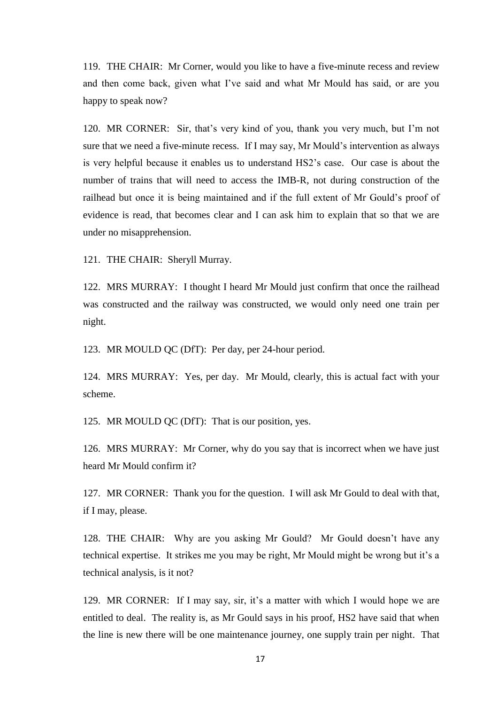119. THE CHAIR: Mr Corner, would you like to have a five-minute recess and review and then come back, given what I've said and what Mr Mould has said, or are you happy to speak now?

120. MR CORNER: Sir, that's very kind of you, thank you very much, but I'm not sure that we need a five-minute recess. If I may say, Mr Mould's intervention as always is very helpful because it enables us to understand HS2's case. Our case is about the number of trains that will need to access the IMB-R, not during construction of the railhead but once it is being maintained and if the full extent of Mr Gould's proof of evidence is read, that becomes clear and I can ask him to explain that so that we are under no misapprehension.

121. THE CHAIR: Sheryll Murray.

122. MRS MURRAY: I thought I heard Mr Mould just confirm that once the railhead was constructed and the railway was constructed, we would only need one train per night.

123. MR MOULD QC (DfT): Per day, per 24-hour period.

124. MRS MURRAY: Yes, per day. Mr Mould, clearly, this is actual fact with your scheme.

125. MR MOULD QC (DfT): That is our position, yes.

126. MRS MURRAY: Mr Corner, why do you say that is incorrect when we have just heard Mr Mould confirm it?

127. MR CORNER: Thank you for the question. I will ask Mr Gould to deal with that, if I may, please.

128. THE CHAIR: Why are you asking Mr Gould? Mr Gould doesn't have any technical expertise. It strikes me you may be right, Mr Mould might be wrong but it's a technical analysis, is it not?

129. MR CORNER: If I may say, sir, it's a matter with which I would hope we are entitled to deal. The reality is, as Mr Gould says in his proof, HS2 have said that when the line is new there will be one maintenance journey, one supply train per night. That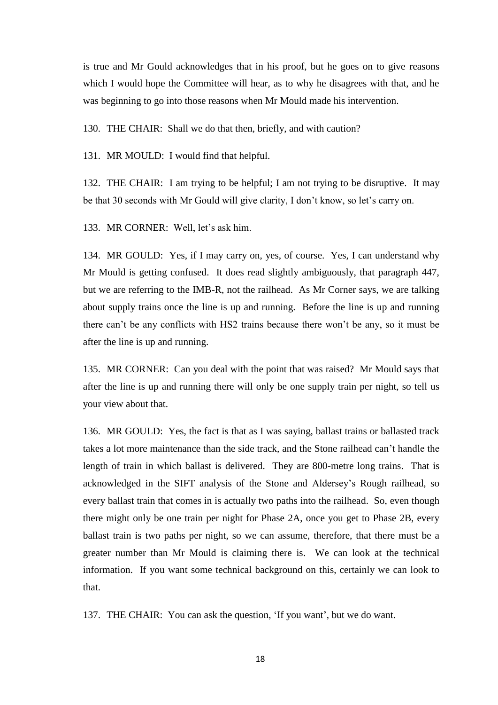is true and Mr Gould acknowledges that in his proof, but he goes on to give reasons which I would hope the Committee will hear, as to why he disagrees with that, and he was beginning to go into those reasons when Mr Mould made his intervention.

130. THE CHAIR: Shall we do that then, briefly, and with caution?

131. MR MOULD: I would find that helpful.

132. THE CHAIR: I am trying to be helpful; I am not trying to be disruptive. It may be that 30 seconds with Mr Gould will give clarity, I don't know, so let's carry on.

133. MR CORNER: Well, let's ask him.

134. MR GOULD: Yes, if I may carry on, yes, of course. Yes, I can understand why Mr Mould is getting confused. It does read slightly ambiguously, that paragraph 447, but we are referring to the IMB-R, not the railhead. As Mr Corner says, we are talking about supply trains once the line is up and running. Before the line is up and running there can't be any conflicts with HS2 trains because there won't be any, so it must be after the line is up and running.

135. MR CORNER: Can you deal with the point that was raised? Mr Mould says that after the line is up and running there will only be one supply train per night, so tell us your view about that.

136. MR GOULD: Yes, the fact is that as I was saying, ballast trains or ballasted track takes a lot more maintenance than the side track, and the Stone railhead can't handle the length of train in which ballast is delivered. They are 800-metre long trains. That is acknowledged in the SIFT analysis of the Stone and Aldersey's Rough railhead, so every ballast train that comes in is actually two paths into the railhead. So, even though there might only be one train per night for Phase 2A, once you get to Phase 2B, every ballast train is two paths per night, so we can assume, therefore, that there must be a greater number than Mr Mould is claiming there is. We can look at the technical information. If you want some technical background on this, certainly we can look to that.

137. THE CHAIR: You can ask the question, 'If you want', but we do want.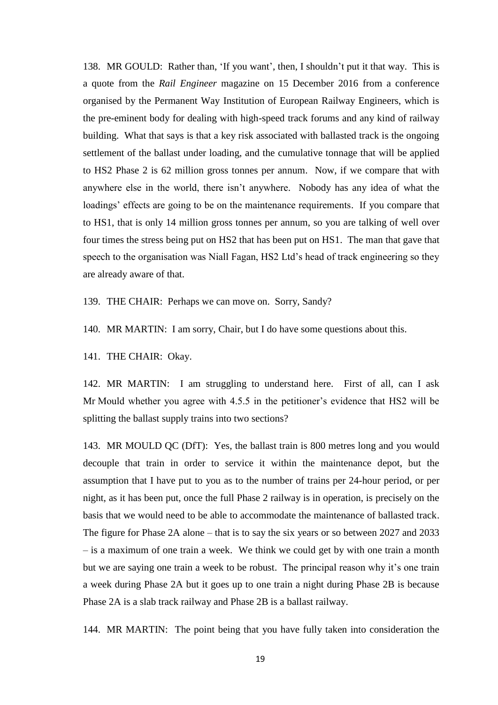138. MR GOULD: Rather than, 'If you want', then, I shouldn't put it that way. This is a quote from the *Rail Engineer* magazine on 15 December 2016 from a conference organised by the Permanent Way Institution of European Railway Engineers, which is the pre-eminent body for dealing with high-speed track forums and any kind of railway building. What that says is that a key risk associated with ballasted track is the ongoing settlement of the ballast under loading, and the cumulative tonnage that will be applied to HS2 Phase 2 is 62 million gross tonnes per annum. Now, if we compare that with anywhere else in the world, there isn't anywhere. Nobody has any idea of what the loadings' effects are going to be on the maintenance requirements. If you compare that to HS1, that is only 14 million gross tonnes per annum, so you are talking of well over four times the stress being put on HS2 that has been put on HS1. The man that gave that speech to the organisation was Niall Fagan, HS2 Ltd's head of track engineering so they are already aware of that.

139. THE CHAIR: Perhaps we can move on. Sorry, Sandy?

140. MR MARTIN: I am sorry, Chair, but I do have some questions about this.

141. THE CHAIR: Okay.

142. MR MARTIN: I am struggling to understand here. First of all, can I ask Mr Mould whether you agree with 4.5.5 in the petitioner's evidence that HS2 will be splitting the ballast supply trains into two sections?

143. MR MOULD QC (DfT): Yes, the ballast train is 800 metres long and you would decouple that train in order to service it within the maintenance depot, but the assumption that I have put to you as to the number of trains per 24-hour period, or per night, as it has been put, once the full Phase 2 railway is in operation, is precisely on the basis that we would need to be able to accommodate the maintenance of ballasted track. The figure for Phase 2A alone – that is to say the six years or so between 2027 and 2033 – is a maximum of one train a week. We think we could get by with one train a month but we are saying one train a week to be robust. The principal reason why it's one train a week during Phase 2A but it goes up to one train a night during Phase 2B is because Phase 2A is a slab track railway and Phase 2B is a ballast railway.

144. MR MARTIN: The point being that you have fully taken into consideration the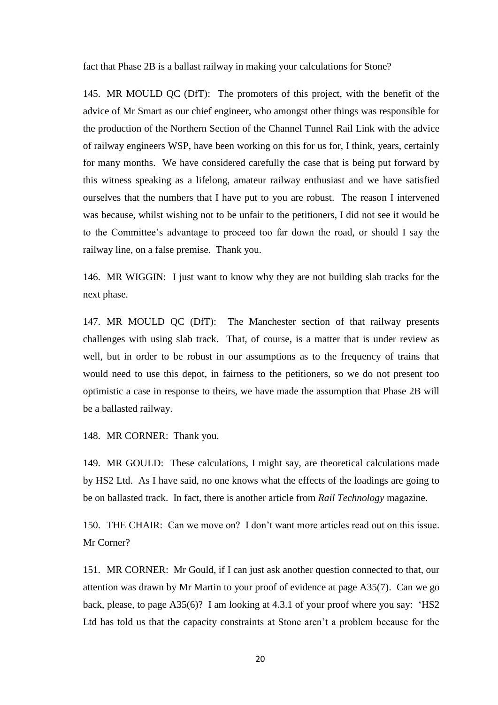fact that Phase 2B is a ballast railway in making your calculations for Stone?

145. MR MOULD QC (DfT): The promoters of this project, with the benefit of the advice of Mr Smart as our chief engineer, who amongst other things was responsible for the production of the Northern Section of the Channel Tunnel Rail Link with the advice of railway engineers WSP, have been working on this for us for, I think, years, certainly for many months. We have considered carefully the case that is being put forward by this witness speaking as a lifelong, amateur railway enthusiast and we have satisfied ourselves that the numbers that I have put to you are robust. The reason I intervened was because, whilst wishing not to be unfair to the petitioners, I did not see it would be to the Committee's advantage to proceed too far down the road, or should I say the railway line, on a false premise. Thank you.

146. MR WIGGIN: I just want to know why they are not building slab tracks for the next phase.

147. MR MOULD QC (DfT): The Manchester section of that railway presents challenges with using slab track. That, of course, is a matter that is under review as well, but in order to be robust in our assumptions as to the frequency of trains that would need to use this depot, in fairness to the petitioners, so we do not present too optimistic a case in response to theirs, we have made the assumption that Phase 2B will be a ballasted railway.

148. MR CORNER: Thank you.

149. MR GOULD: These calculations, I might say, are theoretical calculations made by HS2 Ltd. As I have said, no one knows what the effects of the loadings are going to be on ballasted track. In fact, there is another article from *Rail Technology* magazine.

150. THE CHAIR: Can we move on? I don't want more articles read out on this issue. Mr Corner?

151. MR CORNER: Mr Gould, if I can just ask another question connected to that, our attention was drawn by Mr Martin to your proof of evidence at page A35(7). Can we go back, please, to page A35(6)? I am looking at 4.3.1 of your proof where you say: 'HS2 Ltd has told us that the capacity constraints at Stone aren't a problem because for the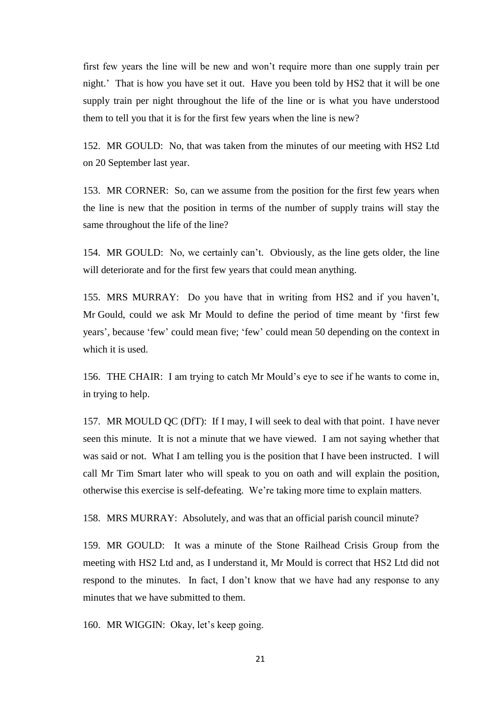first few years the line will be new and won't require more than one supply train per night.' That is how you have set it out. Have you been told by HS2 that it will be one supply train per night throughout the life of the line or is what you have understood them to tell you that it is for the first few years when the line is new?

152. MR GOULD: No, that was taken from the minutes of our meeting with HS2 Ltd on 20 September last year.

153. MR CORNER: So, can we assume from the position for the first few years when the line is new that the position in terms of the number of supply trains will stay the same throughout the life of the line?

154. MR GOULD: No, we certainly can't. Obviously, as the line gets older, the line will deteriorate and for the first few years that could mean anything.

155. MRS MURRAY: Do you have that in writing from HS2 and if you haven't, Mr Gould, could we ask Mr Mould to define the period of time meant by 'first few years', because 'few' could mean five; 'few' could mean 50 depending on the context in which it is used.

156. THE CHAIR: I am trying to catch Mr Mould's eye to see if he wants to come in, in trying to help.

157. MR MOULD QC (DfT): If I may, I will seek to deal with that point. I have never seen this minute. It is not a minute that we have viewed. I am not saying whether that was said or not. What I am telling you is the position that I have been instructed. I will call Mr Tim Smart later who will speak to you on oath and will explain the position, otherwise this exercise is self-defeating. We're taking more time to explain matters.

158. MRS MURRAY: Absolutely, and was that an official parish council minute?

159. MR GOULD: It was a minute of the Stone Railhead Crisis Group from the meeting with HS2 Ltd and, as I understand it, Mr Mould is correct that HS2 Ltd did not respond to the minutes. In fact, I don't know that we have had any response to any minutes that we have submitted to them.

160. MR WIGGIN: Okay, let's keep going.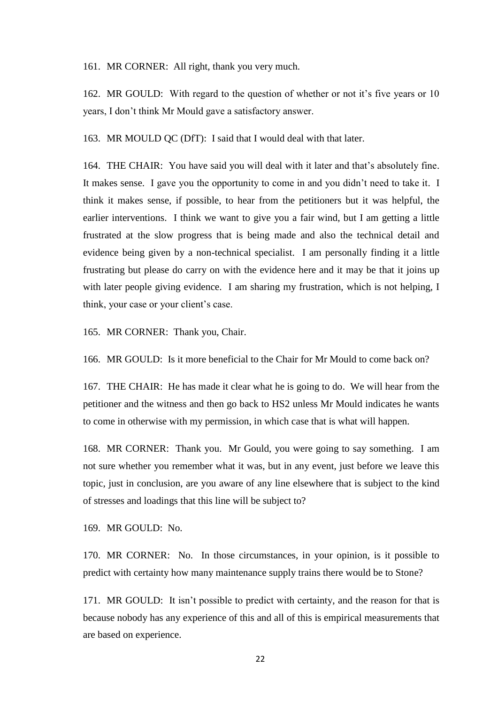161. MR CORNER: All right, thank you very much.

162. MR GOULD: With regard to the question of whether or not it's five years or 10 years, I don't think Mr Mould gave a satisfactory answer.

163. MR MOULD QC (DfT): I said that I would deal with that later.

164. THE CHAIR: You have said you will deal with it later and that's absolutely fine. It makes sense. I gave you the opportunity to come in and you didn't need to take it. I think it makes sense, if possible, to hear from the petitioners but it was helpful, the earlier interventions. I think we want to give you a fair wind, but I am getting a little frustrated at the slow progress that is being made and also the technical detail and evidence being given by a non-technical specialist. I am personally finding it a little frustrating but please do carry on with the evidence here and it may be that it joins up with later people giving evidence. I am sharing my frustration, which is not helping, I think, your case or your client's case.

165. MR CORNER: Thank you, Chair.

166. MR GOULD: Is it more beneficial to the Chair for Mr Mould to come back on?

167. THE CHAIR: He has made it clear what he is going to do. We will hear from the petitioner and the witness and then go back to HS2 unless Mr Mould indicates he wants to come in otherwise with my permission, in which case that is what will happen.

168. MR CORNER: Thank you. Mr Gould, you were going to say something. I am not sure whether you remember what it was, but in any event, just before we leave this topic, just in conclusion, are you aware of any line elsewhere that is subject to the kind of stresses and loadings that this line will be subject to?

169. MR GOULD: No.

170. MR CORNER: No. In those circumstances, in your opinion, is it possible to predict with certainty how many maintenance supply trains there would be to Stone?

171. MR GOULD: It isn't possible to predict with certainty, and the reason for that is because nobody has any experience of this and all of this is empirical measurements that are based on experience.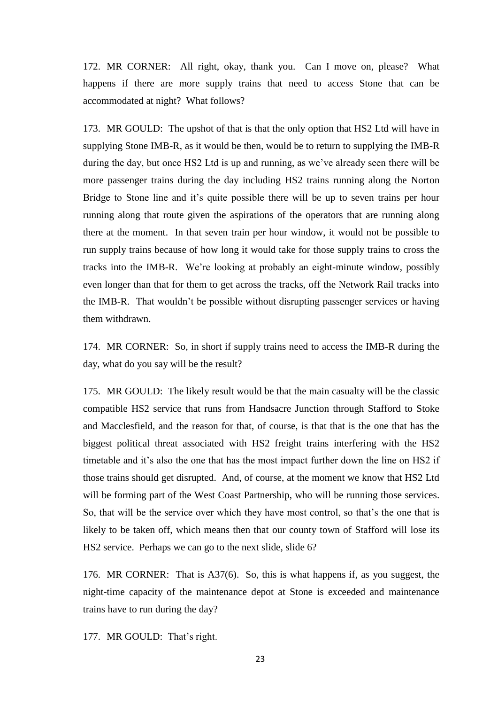172. MR CORNER: All right, okay, thank you. Can I move on, please? What happens if there are more supply trains that need to access Stone that can be accommodated at night? What follows?

173. MR GOULD: The upshot of that is that the only option that HS2 Ltd will have in supplying Stone IMB-R, as it would be then, would be to return to supplying the IMB-R during the day, but once HS2 Ltd is up and running, as we've already seen there will be more passenger trains during the day including HS2 trains running along the Norton Bridge to Stone line and it's quite possible there will be up to seven trains per hour running along that route given the aspirations of the operators that are running along there at the moment. In that seven train per hour window, it would not be possible to run supply trains because of how long it would take for those supply trains to cross the tracks into the IMB-R. We're looking at probably an eight-minute window, possibly even longer than that for them to get across the tracks, off the Network Rail tracks into the IMB-R. That wouldn't be possible without disrupting passenger services or having them withdrawn.

174. MR CORNER: So, in short if supply trains need to access the IMB-R during the day, what do you say will be the result?

175. MR GOULD: The likely result would be that the main casualty will be the classic compatible HS2 service that runs from Handsacre Junction through Stafford to Stoke and Macclesfield, and the reason for that, of course, is that that is the one that has the biggest political threat associated with HS2 freight trains interfering with the HS2 timetable and it's also the one that has the most impact further down the line on HS2 if those trains should get disrupted. And, of course, at the moment we know that HS2 Ltd will be forming part of the West Coast Partnership, who will be running those services. So, that will be the service over which they have most control, so that's the one that is likely to be taken off, which means then that our county town of Stafford will lose its HS2 service. Perhaps we can go to the next slide, slide 6?

176. MR CORNER: That is A37(6). So, this is what happens if, as you suggest, the night-time capacity of the maintenance depot at Stone is exceeded and maintenance trains have to run during the day?

177. MR GOULD: That's right.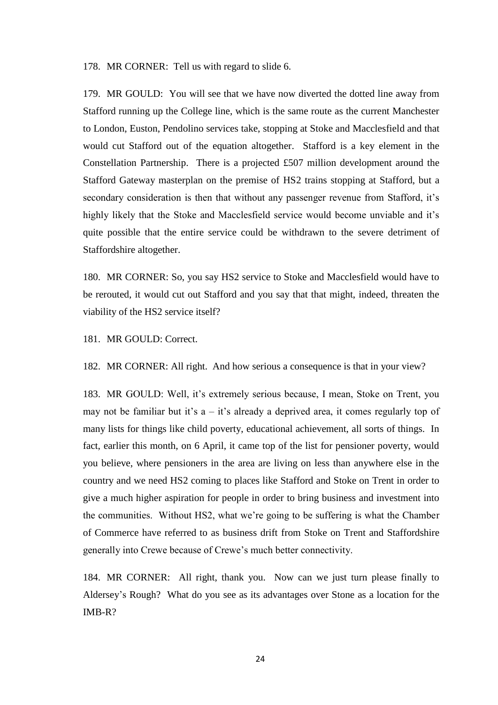178. MR CORNER: Tell us with regard to slide 6.

179. MR GOULD: You will see that we have now diverted the dotted line away from Stafford running up the College line, which is the same route as the current Manchester to London, Euston, Pendolino services take, stopping at Stoke and Macclesfield and that would cut Stafford out of the equation altogether. Stafford is a key element in the Constellation Partnership. There is a projected £507 million development around the Stafford Gateway masterplan on the premise of HS2 trains stopping at Stafford, but a secondary consideration is then that without any passenger revenue from Stafford, it's highly likely that the Stoke and Macclesfield service would become unviable and it's quite possible that the entire service could be withdrawn to the severe detriment of Staffordshire altogether.

180. MR CORNER: So, you say HS2 service to Stoke and Macclesfield would have to be rerouted, it would cut out Stafford and you say that that might, indeed, threaten the viability of the HS2 service itself?

181. MR GOULD: Correct.

182. MR CORNER: All right. And how serious a consequence is that in your view?

183. MR GOULD: Well, it's extremely serious because, I mean, Stoke on Trent, you may not be familiar but it's  $a - it$ 's already a deprived area, it comes regularly top of many lists for things like child poverty, educational achievement, all sorts of things. In fact, earlier this month, on 6 April, it came top of the list for pensioner poverty, would you believe, where pensioners in the area are living on less than anywhere else in the country and we need HS2 coming to places like Stafford and Stoke on Trent in order to give a much higher aspiration for people in order to bring business and investment into the communities. Without HS2, what we're going to be suffering is what the Chamber of Commerce have referred to as business drift from Stoke on Trent and Staffordshire generally into Crewe because of Crewe's much better connectivity.

184. MR CORNER: All right, thank you. Now can we just turn please finally to Aldersey's Rough? What do you see as its advantages over Stone as a location for the IMB-R?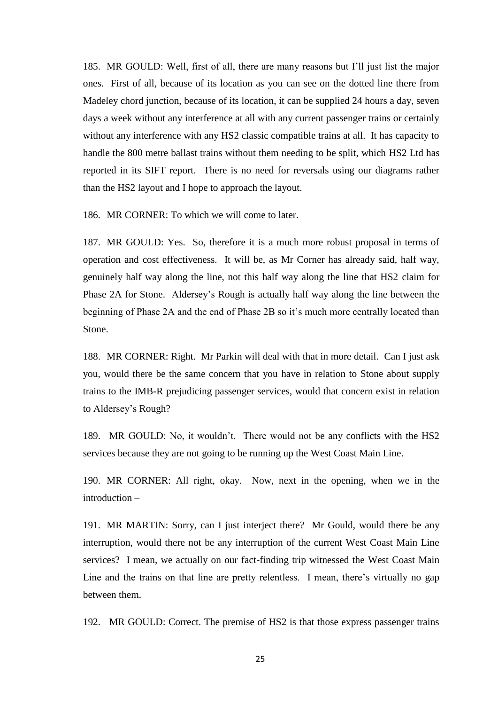185. MR GOULD: Well, first of all, there are many reasons but I'll just list the major ones. First of all, because of its location as you can see on the dotted line there from Madeley chord junction, because of its location, it can be supplied 24 hours a day, seven days a week without any interference at all with any current passenger trains or certainly without any interference with any HS2 classic compatible trains at all. It has capacity to handle the 800 metre ballast trains without them needing to be split, which HS2 Ltd has reported in its SIFT report. There is no need for reversals using our diagrams rather than the HS2 layout and I hope to approach the layout.

186. MR CORNER: To which we will come to later.

187. MR GOULD: Yes. So, therefore it is a much more robust proposal in terms of operation and cost effectiveness. It will be, as Mr Corner has already said, half way, genuinely half way along the line, not this half way along the line that HS2 claim for Phase 2A for Stone. Aldersey's Rough is actually half way along the line between the beginning of Phase 2A and the end of Phase 2B so it's much more centrally located than Stone.

188. MR CORNER: Right. Mr Parkin will deal with that in more detail. Can I just ask you, would there be the same concern that you have in relation to Stone about supply trains to the IMB-R prejudicing passenger services, would that concern exist in relation to Aldersey's Rough?

189. MR GOULD: No, it wouldn't. There would not be any conflicts with the HS2 services because they are not going to be running up the West Coast Main Line.

190. MR CORNER: All right, okay. Now, next in the opening, when we in the introduction –

191. MR MARTIN: Sorry, can I just interject there? Mr Gould, would there be any interruption, would there not be any interruption of the current West Coast Main Line services? I mean, we actually on our fact-finding trip witnessed the West Coast Main Line and the trains on that line are pretty relentless. I mean, there's virtually no gap between them.

192. MR GOULD: Correct. The premise of HS2 is that those express passenger trains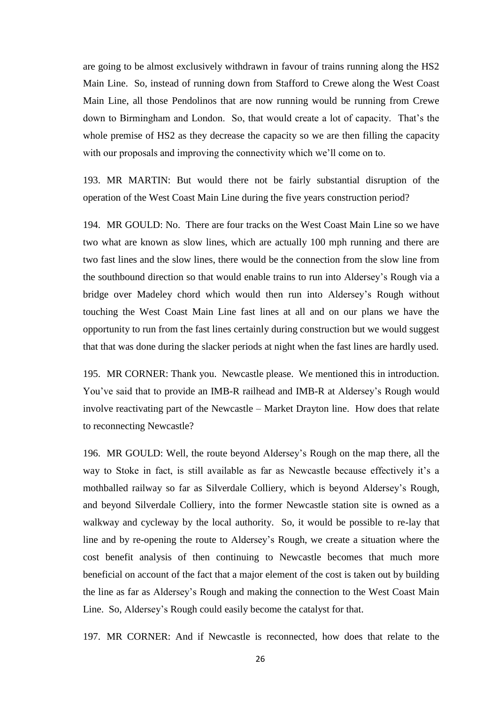are going to be almost exclusively withdrawn in favour of trains running along the HS2 Main Line. So, instead of running down from Stafford to Crewe along the West Coast Main Line, all those Pendolinos that are now running would be running from Crewe down to Birmingham and London. So, that would create a lot of capacity. That's the whole premise of HS2 as they decrease the capacity so we are then filling the capacity with our proposals and improving the connectivity which we'll come on to.

193. MR MARTIN: But would there not be fairly substantial disruption of the operation of the West Coast Main Line during the five years construction period?

194. MR GOULD: No. There are four tracks on the West Coast Main Line so we have two what are known as slow lines, which are actually 100 mph running and there are two fast lines and the slow lines, there would be the connection from the slow line from the southbound direction so that would enable trains to run into Aldersey's Rough via a bridge over Madeley chord which would then run into Aldersey's Rough without touching the West Coast Main Line fast lines at all and on our plans we have the opportunity to run from the fast lines certainly during construction but we would suggest that that was done during the slacker periods at night when the fast lines are hardly used.

195. MR CORNER: Thank you. Newcastle please. We mentioned this in introduction. You've said that to provide an IMB-R railhead and IMB-R at Aldersey's Rough would involve reactivating part of the Newcastle – Market Drayton line. How does that relate to reconnecting Newcastle?

196. MR GOULD: Well, the route beyond Aldersey's Rough on the map there, all the way to Stoke in fact, is still available as far as Newcastle because effectively it's a mothballed railway so far as Silverdale Colliery, which is beyond Aldersey's Rough, and beyond Silverdale Colliery, into the former Newcastle station site is owned as a walkway and cycleway by the local authority. So, it would be possible to re-lay that line and by re-opening the route to Aldersey's Rough, we create a situation where the cost benefit analysis of then continuing to Newcastle becomes that much more beneficial on account of the fact that a major element of the cost is taken out by building the line as far as Aldersey's Rough and making the connection to the West Coast Main Line. So, Aldersey's Rough could easily become the catalyst for that.

197. MR CORNER: And if Newcastle is reconnected, how does that relate to the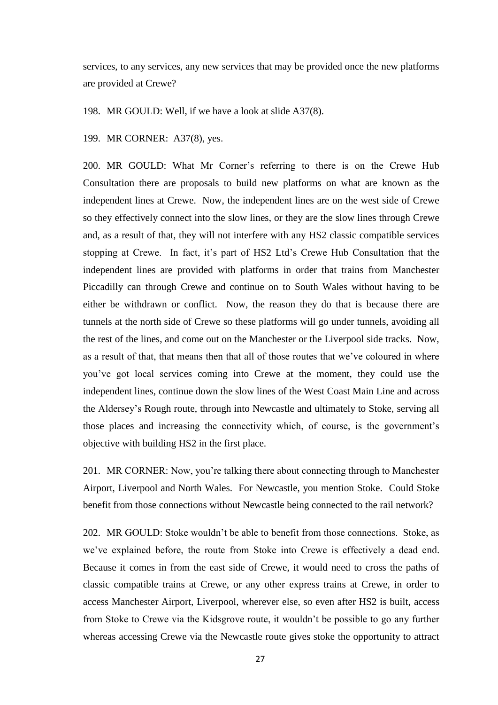services, to any services, any new services that may be provided once the new platforms are provided at Crewe?

198. MR GOULD: Well, if we have a look at slide A37(8).

199. MR CORNER: A37(8), yes.

200. MR GOULD: What Mr Corner's referring to there is on the Crewe Hub Consultation there are proposals to build new platforms on what are known as the independent lines at Crewe. Now, the independent lines are on the west side of Crewe so they effectively connect into the slow lines, or they are the slow lines through Crewe and, as a result of that, they will not interfere with any HS2 classic compatible services stopping at Crewe. In fact, it's part of HS2 Ltd's Crewe Hub Consultation that the independent lines are provided with platforms in order that trains from Manchester Piccadilly can through Crewe and continue on to South Wales without having to be either be withdrawn or conflict. Now, the reason they do that is because there are tunnels at the north side of Crewe so these platforms will go under tunnels, avoiding all the rest of the lines, and come out on the Manchester or the Liverpool side tracks. Now, as a result of that, that means then that all of those routes that we've coloured in where you've got local services coming into Crewe at the moment, they could use the independent lines, continue down the slow lines of the West Coast Main Line and across the Aldersey's Rough route, through into Newcastle and ultimately to Stoke, serving all those places and increasing the connectivity which, of course, is the government's objective with building HS2 in the first place.

201. MR CORNER: Now, you're talking there about connecting through to Manchester Airport, Liverpool and North Wales. For Newcastle, you mention Stoke. Could Stoke benefit from those connections without Newcastle being connected to the rail network?

202. MR GOULD: Stoke wouldn't be able to benefit from those connections. Stoke, as we've explained before, the route from Stoke into Crewe is effectively a dead end. Because it comes in from the east side of Crewe, it would need to cross the paths of classic compatible trains at Crewe, or any other express trains at Crewe, in order to access Manchester Airport, Liverpool, wherever else, so even after HS2 is built, access from Stoke to Crewe via the Kidsgrove route, it wouldn't be possible to go any further whereas accessing Crewe via the Newcastle route gives stoke the opportunity to attract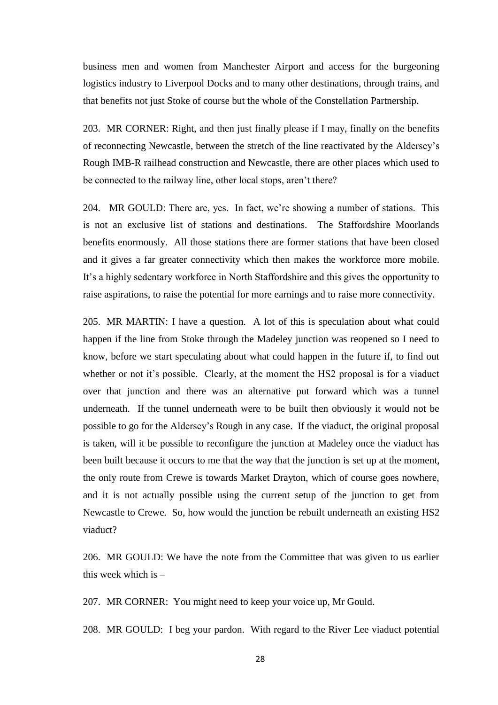business men and women from Manchester Airport and access for the burgeoning logistics industry to Liverpool Docks and to many other destinations, through trains, and that benefits not just Stoke of course but the whole of the Constellation Partnership.

203. MR CORNER: Right, and then just finally please if I may, finally on the benefits of reconnecting Newcastle, between the stretch of the line reactivated by the Aldersey's Rough IMB-R railhead construction and Newcastle, there are other places which used to be connected to the railway line, other local stops, aren't there?

204. MR GOULD: There are, yes. In fact, we're showing a number of stations. This is not an exclusive list of stations and destinations. The Staffordshire Moorlands benefits enormously. All those stations there are former stations that have been closed and it gives a far greater connectivity which then makes the workforce more mobile. It's a highly sedentary workforce in North Staffordshire and this gives the opportunity to raise aspirations, to raise the potential for more earnings and to raise more connectivity.

205. MR MARTIN: I have a question. A lot of this is speculation about what could happen if the line from Stoke through the Madeley junction was reopened so I need to know, before we start speculating about what could happen in the future if, to find out whether or not it's possible. Clearly, at the moment the HS2 proposal is for a viaduct over that junction and there was an alternative put forward which was a tunnel underneath. If the tunnel underneath were to be built then obviously it would not be possible to go for the Aldersey's Rough in any case. If the viaduct, the original proposal is taken, will it be possible to reconfigure the junction at Madeley once the viaduct has been built because it occurs to me that the way that the junction is set up at the moment, the only route from Crewe is towards Market Drayton, which of course goes nowhere, and it is not actually possible using the current setup of the junction to get from Newcastle to Crewe. So, how would the junction be rebuilt underneath an existing HS2 viaduct?

206. MR GOULD: We have the note from the Committee that was given to us earlier this week which is –

207. MR CORNER: You might need to keep your voice up, Mr Gould.

208. MR GOULD: I beg your pardon. With regard to the River Lee viaduct potential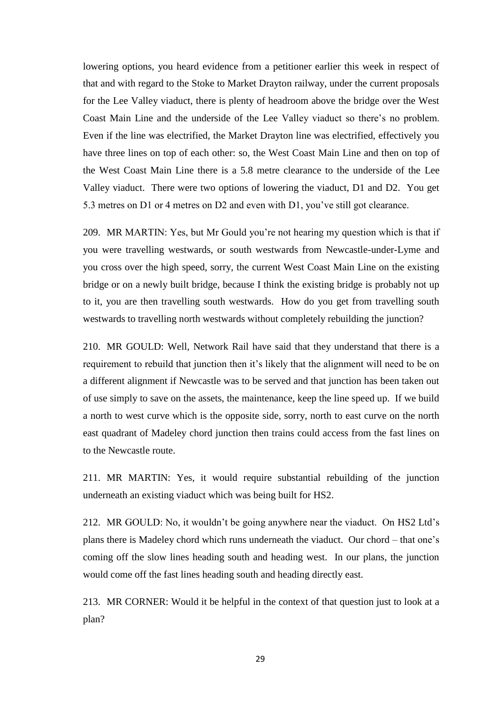lowering options, you heard evidence from a petitioner earlier this week in respect of that and with regard to the Stoke to Market Drayton railway, under the current proposals for the Lee Valley viaduct, there is plenty of headroom above the bridge over the West Coast Main Line and the underside of the Lee Valley viaduct so there's no problem. Even if the line was electrified, the Market Drayton line was electrified, effectively you have three lines on top of each other: so, the West Coast Main Line and then on top of the West Coast Main Line there is a 5.8 metre clearance to the underside of the Lee Valley viaduct. There were two options of lowering the viaduct, D1 and D2. You get 5.3 metres on D1 or 4 metres on D2 and even with D1, you've still got clearance.

209. MR MARTIN: Yes, but Mr Gould you're not hearing my question which is that if you were travelling westwards, or south westwards from Newcastle-under-Lyme and you cross over the high speed, sorry, the current West Coast Main Line on the existing bridge or on a newly built bridge, because I think the existing bridge is probably not up to it, you are then travelling south westwards. How do you get from travelling south westwards to travelling north westwards without completely rebuilding the junction?

210. MR GOULD: Well, Network Rail have said that they understand that there is a requirement to rebuild that junction then it's likely that the alignment will need to be on a different alignment if Newcastle was to be served and that junction has been taken out of use simply to save on the assets, the maintenance, keep the line speed up. If we build a north to west curve which is the opposite side, sorry, north to east curve on the north east quadrant of Madeley chord junction then trains could access from the fast lines on to the Newcastle route.

211. MR MARTIN: Yes, it would require substantial rebuilding of the junction underneath an existing viaduct which was being built for HS2.

212. MR GOULD: No, it wouldn't be going anywhere near the viaduct. On HS2 Ltd's plans there is Madeley chord which runs underneath the viaduct. Our chord – that one's coming off the slow lines heading south and heading west. In our plans, the junction would come off the fast lines heading south and heading directly east.

213. MR CORNER: Would it be helpful in the context of that question just to look at a plan?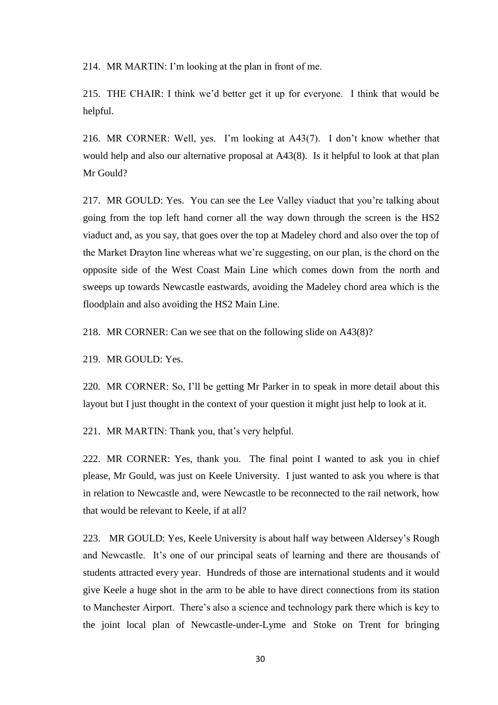214. MR MARTIN: I'm looking at the plan in front of me.

215. THE CHAIR: I think we'd better get it up for everyone. I think that would be helpful.

216. MR CORNER: Well, yes. I'm looking at A43(7). I don't know whether that would help and also our alternative proposal at A43(8). Is it helpful to look at that plan Mr Gould?

217. MR GOULD: Yes. You can see the Lee Valley viaduct that you're talking about going from the top left hand corner all the way down through the screen is the HS2 viaduct and, as you say, that goes over the top at Madeley chord and also over the top of the Market Drayton line whereas what we're suggesting, on our plan, is the chord on the opposite side of the West Coast Main Line which comes down from the north and sweeps up towards Newcastle eastwards, avoiding the Madeley chord area which is the floodplain and also avoiding the HS2 Main Line.

218. MR CORNER: Can we see that on the following slide on A43(8)?

219. MR GOULD: Yes.

220. MR CORNER: So, I'll be getting Mr Parker in to speak in more detail about this layout but I just thought in the context of your question it might just help to look at it.

221. MR MARTIN: Thank you, that's very helpful.

222. MR CORNER: Yes, thank you. The final point I wanted to ask you in chief please, Mr Gould, was just on Keele University. I just wanted to ask you where is that in relation to Newcastle and, were Newcastle to be reconnected to the rail network, how that would be relevant to Keele, if at all?

223. MR GOULD: Yes, Keele University is about half way between Aldersey's Rough and Newcastle. It's one of our principal seats of learning and there are thousands of students attracted every year. Hundreds of those are international students and it would give Keele a huge shot in the arm to be able to have direct connections from its station to Manchester Airport. There's also a science and technology park there which is key to the joint local plan of Newcastle-under-Lyme and Stoke on Trent for bringing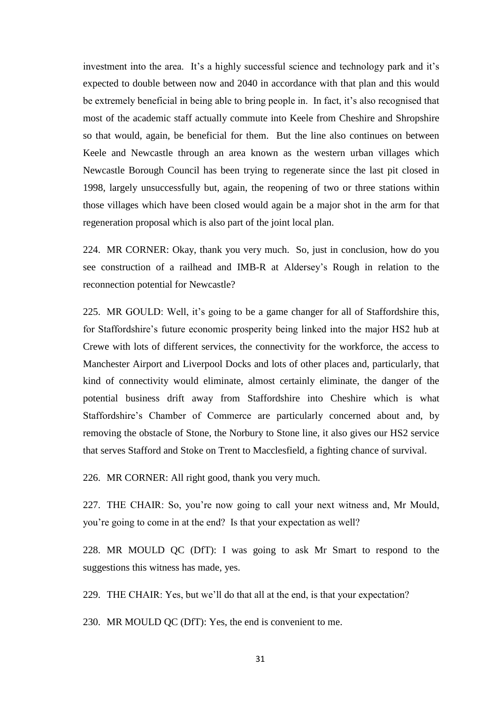investment into the area. It's a highly successful science and technology park and it's expected to double between now and 2040 in accordance with that plan and this would be extremely beneficial in being able to bring people in. In fact, it's also recognised that most of the academic staff actually commute into Keele from Cheshire and Shropshire so that would, again, be beneficial for them. But the line also continues on between Keele and Newcastle through an area known as the western urban villages which Newcastle Borough Council has been trying to regenerate since the last pit closed in 1998, largely unsuccessfully but, again, the reopening of two or three stations within those villages which have been closed would again be a major shot in the arm for that regeneration proposal which is also part of the joint local plan.

224. MR CORNER: Okay, thank you very much. So, just in conclusion, how do you see construction of a railhead and IMB-R at Aldersey's Rough in relation to the reconnection potential for Newcastle?

225. MR GOULD: Well, it's going to be a game changer for all of Staffordshire this, for Staffordshire's future economic prosperity being linked into the major HS2 hub at Crewe with lots of different services, the connectivity for the workforce, the access to Manchester Airport and Liverpool Docks and lots of other places and, particularly, that kind of connectivity would eliminate, almost certainly eliminate, the danger of the potential business drift away from Staffordshire into Cheshire which is what Staffordshire's Chamber of Commerce are particularly concerned about and, by removing the obstacle of Stone, the Norbury to Stone line, it also gives our HS2 service that serves Stafford and Stoke on Trent to Macclesfield, a fighting chance of survival.

226. MR CORNER: All right good, thank you very much.

227. THE CHAIR: So, you're now going to call your next witness and, Mr Mould, you're going to come in at the end? Is that your expectation as well?

228. MR MOULD QC (DfT): I was going to ask Mr Smart to respond to the suggestions this witness has made, yes.

229. THE CHAIR: Yes, but we'll do that all at the end, is that your expectation?

230. MR MOULD QC (DfT): Yes, the end is convenient to me.

31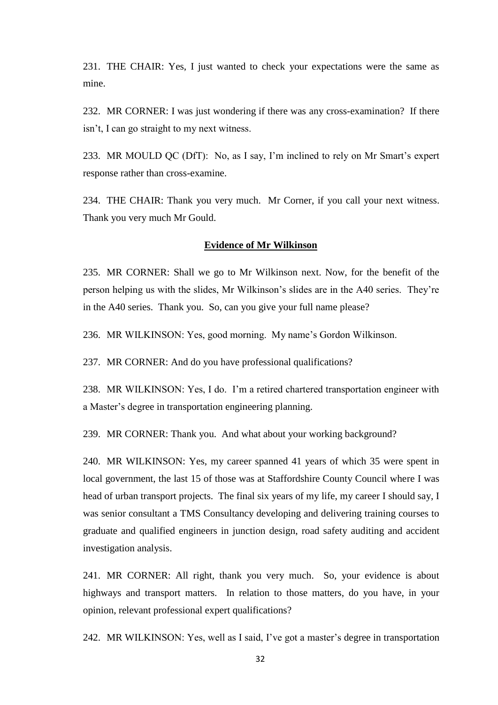231. THE CHAIR: Yes, I just wanted to check your expectations were the same as mine.

232. MR CORNER: I was just wondering if there was any cross-examination? If there isn't, I can go straight to my next witness.

233. MR MOULD QC (DfT): No, as I say, I'm inclined to rely on Mr Smart's expert response rather than cross-examine.

234. THE CHAIR: Thank you very much. Mr Corner, if you call your next witness. Thank you very much Mr Gould.

# **Evidence of Mr Wilkinson**

<span id="page-31-0"></span>235. MR CORNER: Shall we go to Mr Wilkinson next. Now, for the benefit of the person helping us with the slides, Mr Wilkinson's slides are in the A40 series. They're in the A40 series. Thank you. So, can you give your full name please?

236. MR WILKINSON: Yes, good morning. My name's Gordon Wilkinson.

237. MR CORNER: And do you have professional qualifications?

238. MR WILKINSON: Yes, I do. I'm a retired chartered transportation engineer with a Master's degree in transportation engineering planning.

239. MR CORNER: Thank you. And what about your working background?

240. MR WILKINSON: Yes, my career spanned 41 years of which 35 were spent in local government, the last 15 of those was at Staffordshire County Council where I was head of urban transport projects. The final six years of my life, my career I should say, I was senior consultant a TMS Consultancy developing and delivering training courses to graduate and qualified engineers in junction design, road safety auditing and accident investigation analysis.

241. MR CORNER: All right, thank you very much. So, your evidence is about highways and transport matters. In relation to those matters, do you have, in your opinion, relevant professional expert qualifications?

242. MR WILKINSON: Yes, well as I said, I've got a master's degree in transportation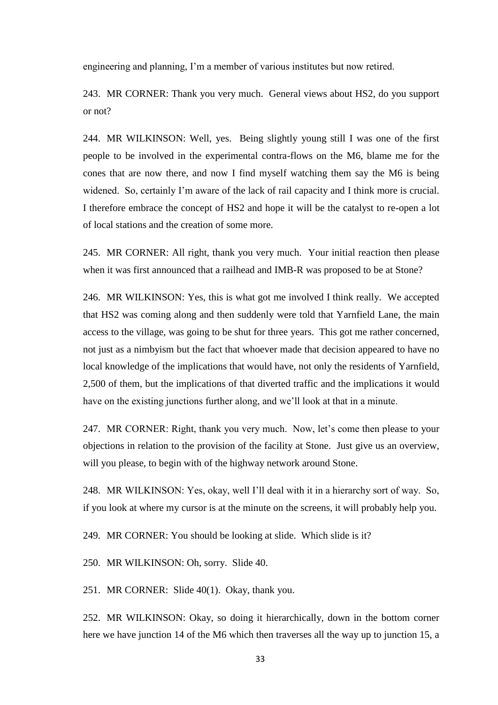engineering and planning, I'm a member of various institutes but now retired.

243. MR CORNER: Thank you very much. General views about HS2, do you support or not?

244. MR WILKINSON: Well, yes. Being slightly young still I was one of the first people to be involved in the experimental contra-flows on the M6, blame me for the cones that are now there, and now I find myself watching them say the M6 is being widened. So, certainly I'm aware of the lack of rail capacity and I think more is crucial. I therefore embrace the concept of HS2 and hope it will be the catalyst to re-open a lot of local stations and the creation of some more.

245. MR CORNER: All right, thank you very much. Your initial reaction then please when it was first announced that a railhead and IMB-R was proposed to be at Stone?

246. MR WILKINSON: Yes, this is what got me involved I think really. We accepted that HS2 was coming along and then suddenly were told that Yarnfield Lane, the main access to the village, was going to be shut for three years. This got me rather concerned, not just as a nimbyism but the fact that whoever made that decision appeared to have no local knowledge of the implications that would have, not only the residents of Yarnfield, 2,500 of them, but the implications of that diverted traffic and the implications it would have on the existing junctions further along, and we'll look at that in a minute.

247. MR CORNER: Right, thank you very much. Now, let's come then please to your objections in relation to the provision of the facility at Stone. Just give us an overview, will you please, to begin with of the highway network around Stone.

248. MR WILKINSON: Yes, okay, well I'll deal with it in a hierarchy sort of way. So, if you look at where my cursor is at the minute on the screens, it will probably help you.

249. MR CORNER: You should be looking at slide. Which slide is it?

250. MR WILKINSON: Oh, sorry. Slide 40.

251. MR CORNER: Slide 40(1). Okay, thank you.

252. MR WILKINSON: Okay, so doing it hierarchically, down in the bottom corner here we have junction 14 of the M6 which then traverses all the way up to junction 15, a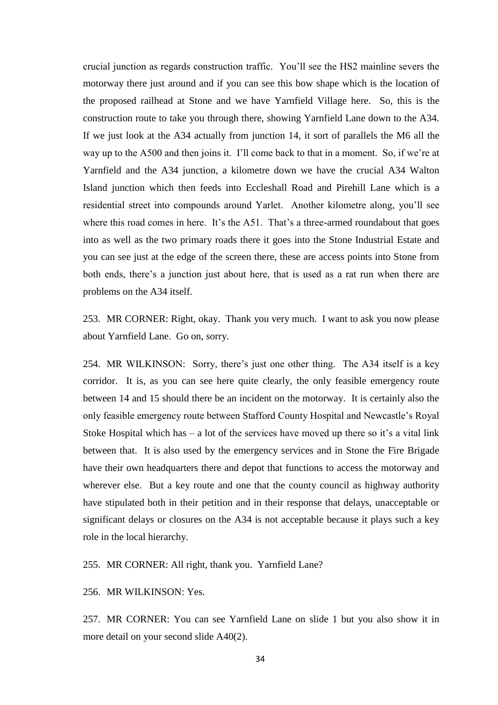crucial junction as regards construction traffic. You'll see the HS2 mainline severs the motorway there just around and if you can see this bow shape which is the location of the proposed railhead at Stone and we have Yarnfield Village here. So, this is the construction route to take you through there, showing Yarnfield Lane down to the A34. If we just look at the A34 actually from junction 14, it sort of parallels the M6 all the way up to the A500 and then joins it. I'll come back to that in a moment. So, if we're at Yarnfield and the A34 junction, a kilometre down we have the crucial A34 Walton Island junction which then feeds into Eccleshall Road and Pirehill Lane which is a residential street into compounds around Yarlet. Another kilometre along, you'll see where this road comes in here. It's the A51. That's a three-armed roundabout that goes into as well as the two primary roads there it goes into the Stone Industrial Estate and you can see just at the edge of the screen there, these are access points into Stone from both ends, there's a junction just about here, that is used as a rat run when there are problems on the A34 itself.

253. MR CORNER: Right, okay. Thank you very much. I want to ask you now please about Yarnfield Lane. Go on, sorry.

254. MR WILKINSON: Sorry, there's just one other thing. The A34 itself is a key corridor. It is, as you can see here quite clearly, the only feasible emergency route between 14 and 15 should there be an incident on the motorway. It is certainly also the only feasible emergency route between Stafford County Hospital and Newcastle's Royal Stoke Hospital which has  $-$  a lot of the services have moved up there so it's a vital link between that. It is also used by the emergency services and in Stone the Fire Brigade have their own headquarters there and depot that functions to access the motorway and wherever else. But a key route and one that the county council as highway authority have stipulated both in their petition and in their response that delays, unacceptable or significant delays or closures on the A34 is not acceptable because it plays such a key role in the local hierarchy.

255. MR CORNER: All right, thank you. Yarnfield Lane?

256. MR WILKINSON: Yes.

257. MR CORNER: You can see Yarnfield Lane on slide 1 but you also show it in more detail on your second slide A40(2).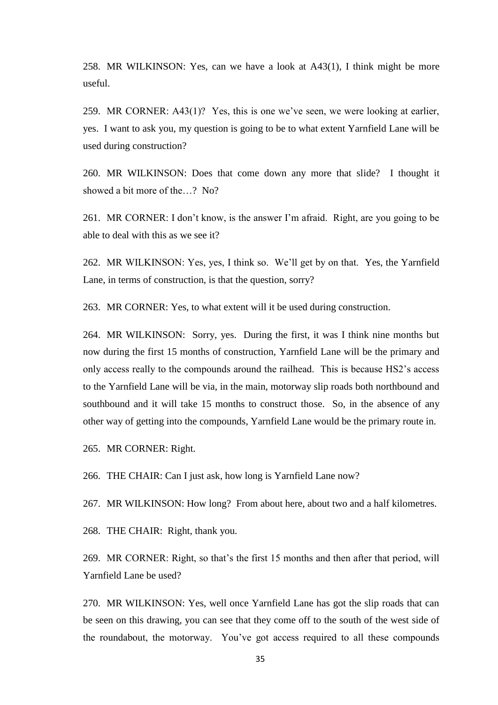258. MR WILKINSON: Yes, can we have a look at  $A43(1)$ , I think might be more useful.

259. MR CORNER: A43(1)? Yes, this is one we've seen, we were looking at earlier, yes. I want to ask you, my question is going to be to what extent Yarnfield Lane will be used during construction?

260. MR WILKINSON: Does that come down any more that slide? I thought it showed a bit more of the…? No?

261. MR CORNER: I don't know, is the answer I'm afraid. Right, are you going to be able to deal with this as we see it?

262. MR WILKINSON: Yes, yes, I think so. We'll get by on that. Yes, the Yarnfield Lane, in terms of construction, is that the question, sorry?

263. MR CORNER: Yes, to what extent will it be used during construction.

264. MR WILKINSON: Sorry, yes. During the first, it was I think nine months but now during the first 15 months of construction, Yarnfield Lane will be the primary and only access really to the compounds around the railhead. This is because HS2's access to the Yarnfield Lane will be via, in the main, motorway slip roads both northbound and southbound and it will take 15 months to construct those. So, in the absence of any other way of getting into the compounds, Yarnfield Lane would be the primary route in.

265. MR CORNER: Right.

266. THE CHAIR: Can I just ask, how long is Yarnfield Lane now?

267. MR WILKINSON: How long? From about here, about two and a half kilometres.

268. THE CHAIR: Right, thank you.

269. MR CORNER: Right, so that's the first 15 months and then after that period, will Yarnfield Lane be used?

270. MR WILKINSON: Yes, well once Yarnfield Lane has got the slip roads that can be seen on this drawing, you can see that they come off to the south of the west side of the roundabout, the motorway. You've got access required to all these compounds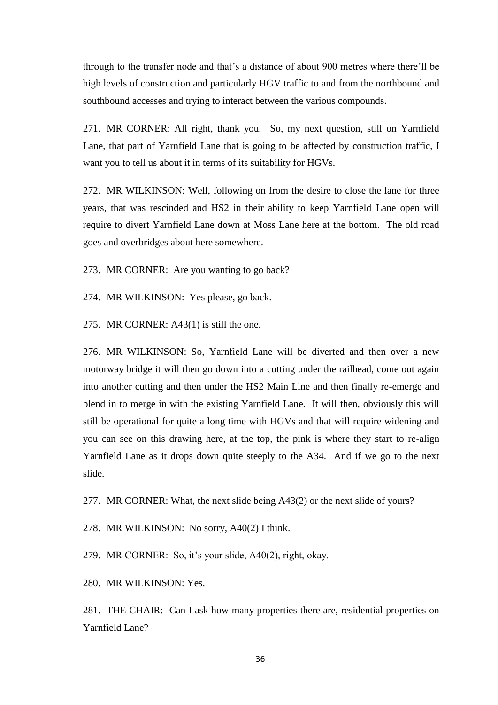through to the transfer node and that's a distance of about 900 metres where there'll be high levels of construction and particularly HGV traffic to and from the northbound and southbound accesses and trying to interact between the various compounds.

271. MR CORNER: All right, thank you. So, my next question, still on Yarnfield Lane, that part of Yarnfield Lane that is going to be affected by construction traffic, I want you to tell us about it in terms of its suitability for HGVs.

272. MR WILKINSON: Well, following on from the desire to close the lane for three years, that was rescinded and HS2 in their ability to keep Yarnfield Lane open will require to divert Yarnfield Lane down at Moss Lane here at the bottom. The old road goes and overbridges about here somewhere.

273. MR CORNER: Are you wanting to go back?

274. MR WILKINSON: Yes please, go back.

275. MR CORNER: A43(1) is still the one.

276. MR WILKINSON: So, Yarnfield Lane will be diverted and then over a new motorway bridge it will then go down into a cutting under the railhead, come out again into another cutting and then under the HS2 Main Line and then finally re-emerge and blend in to merge in with the existing Yarnfield Lane. It will then, obviously this will still be operational for quite a long time with HGVs and that will require widening and you can see on this drawing here, at the top, the pink is where they start to re-align Yarnfield Lane as it drops down quite steeply to the A34. And if we go to the next slide.

277. MR CORNER: What, the next slide being A43(2) or the next slide of yours?

278. MR WILKINSON: No sorry, A40(2) I think.

279. MR CORNER: So, it's your slide, A40(2), right, okay.

280. MR WILKINSON: Yes.

281. THE CHAIR: Can I ask how many properties there are, residential properties on Yarnfield Lane?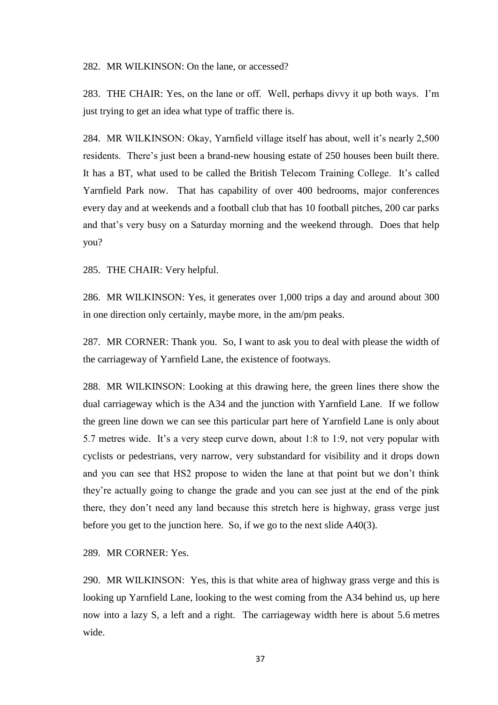#### 282. MR WILKINSON: On the lane, or accessed?

283. THE CHAIR: Yes, on the lane or off. Well, perhaps divvy it up both ways. I'm just trying to get an idea what type of traffic there is.

284. MR WILKINSON: Okay, Yarnfield village itself has about, well it's nearly 2,500 residents. There's just been a brand-new housing estate of 250 houses been built there. It has a BT, what used to be called the British Telecom Training College. It's called Yarnfield Park now. That has capability of over 400 bedrooms, major conferences every day and at weekends and a football club that has 10 football pitches, 200 car parks and that's very busy on a Saturday morning and the weekend through. Does that help you?

285. THE CHAIR: Very helpful.

286. MR WILKINSON: Yes, it generates over 1,000 trips a day and around about 300 in one direction only certainly, maybe more, in the am/pm peaks.

287. MR CORNER: Thank you. So, I want to ask you to deal with please the width of the carriageway of Yarnfield Lane, the existence of footways.

288. MR WILKINSON: Looking at this drawing here, the green lines there show the dual carriageway which is the A34 and the junction with Yarnfield Lane. If we follow the green line down we can see this particular part here of Yarnfield Lane is only about 5.7 metres wide. It's a very steep curve down, about 1:8 to 1:9, not very popular with cyclists or pedestrians, very narrow, very substandard for visibility and it drops down and you can see that HS2 propose to widen the lane at that point but we don't think they're actually going to change the grade and you can see just at the end of the pink there, they don't need any land because this stretch here is highway, grass verge just before you get to the junction here. So, if we go to the next slide A40(3).

289. MR CORNER: Yes.

290. MR WILKINSON: Yes, this is that white area of highway grass verge and this is looking up Yarnfield Lane, looking to the west coming from the A34 behind us, up here now into a lazy S, a left and a right. The carriageway width here is about 5.6 metres wide.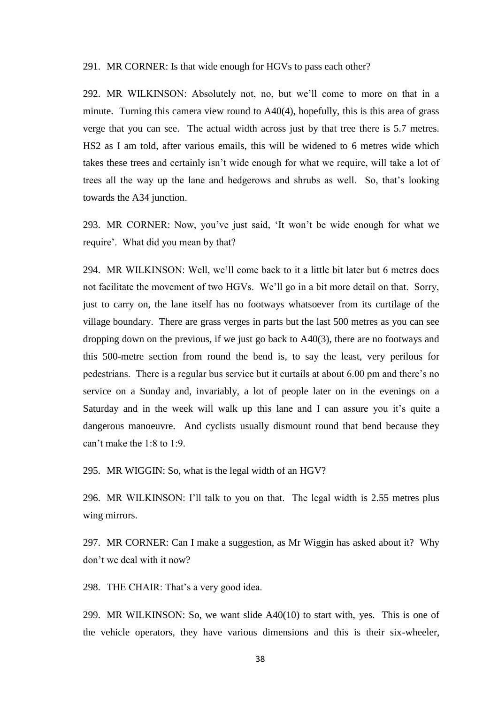#### 291. MR CORNER: Is that wide enough for HGVs to pass each other?

292. MR WILKINSON: Absolutely not, no, but we'll come to more on that in a minute. Turning this camera view round to A40(4), hopefully, this is this area of grass verge that you can see. The actual width across just by that tree there is 5.7 metres. HS2 as I am told, after various emails, this will be widened to 6 metres wide which takes these trees and certainly isn't wide enough for what we require, will take a lot of trees all the way up the lane and hedgerows and shrubs as well. So, that's looking towards the A34 junction.

293. MR CORNER: Now, you've just said, 'It won't be wide enough for what we require'. What did you mean by that?

294. MR WILKINSON: Well, we'll come back to it a little bit later but 6 metres does not facilitate the movement of two HGVs. We'll go in a bit more detail on that. Sorry, just to carry on, the lane itself has no footways whatsoever from its curtilage of the village boundary. There are grass verges in parts but the last 500 metres as you can see dropping down on the previous, if we just go back to A40(3), there are no footways and this 500-metre section from round the bend is, to say the least, very perilous for pedestrians. There is a regular bus service but it curtails at about 6.00 pm and there's no service on a Sunday and, invariably, a lot of people later on in the evenings on a Saturday and in the week will walk up this lane and I can assure you it's quite a dangerous manoeuvre. And cyclists usually dismount round that bend because they can't make the 1:8 to 1:9.

295. MR WIGGIN: So, what is the legal width of an HGV?

296. MR WILKINSON: I'll talk to you on that. The legal width is 2.55 metres plus wing mirrors.

297. MR CORNER: Can I make a suggestion, as Mr Wiggin has asked about it? Why don't we deal with it now?

298. THE CHAIR: That's a very good idea.

299. MR WILKINSON: So, we want slide A40(10) to start with, yes. This is one of the vehicle operators, they have various dimensions and this is their six-wheeler,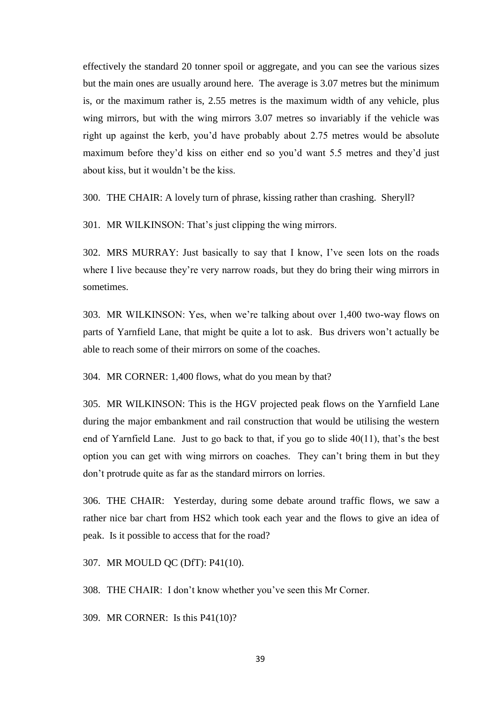effectively the standard 20 tonner spoil or aggregate, and you can see the various sizes but the main ones are usually around here. The average is 3.07 metres but the minimum is, or the maximum rather is, 2.55 metres is the maximum width of any vehicle, plus wing mirrors, but with the wing mirrors 3.07 metres so invariably if the vehicle was right up against the kerb, you'd have probably about 2.75 metres would be absolute maximum before they'd kiss on either end so you'd want 5.5 metres and they'd just about kiss, but it wouldn't be the kiss.

300. THE CHAIR: A lovely turn of phrase, kissing rather than crashing. Sheryll?

301. MR WILKINSON: That's just clipping the wing mirrors.

302. MRS MURRAY: Just basically to say that I know, I've seen lots on the roads where I live because they're very narrow roads, but they do bring their wing mirrors in sometimes.

303. MR WILKINSON: Yes, when we're talking about over 1,400 two-way flows on parts of Yarnfield Lane, that might be quite a lot to ask. Bus drivers won't actually be able to reach some of their mirrors on some of the coaches.

304. MR CORNER: 1,400 flows, what do you mean by that?

305. MR WILKINSON: This is the HGV projected peak flows on the Yarnfield Lane during the major embankment and rail construction that would be utilising the western end of Yarnfield Lane. Just to go back to that, if you go to slide 40(11), that's the best option you can get with wing mirrors on coaches. They can't bring them in but they don't protrude quite as far as the standard mirrors on lorries.

306. THE CHAIR: Yesterday, during some debate around traffic flows, we saw a rather nice bar chart from HS2 which took each year and the flows to give an idea of peak. Is it possible to access that for the road?

307. MR MOULD QC (DfT): P41(10).

308. THE CHAIR: I don't know whether you've seen this Mr Corner.

309. MR CORNER: Is this P41(10)?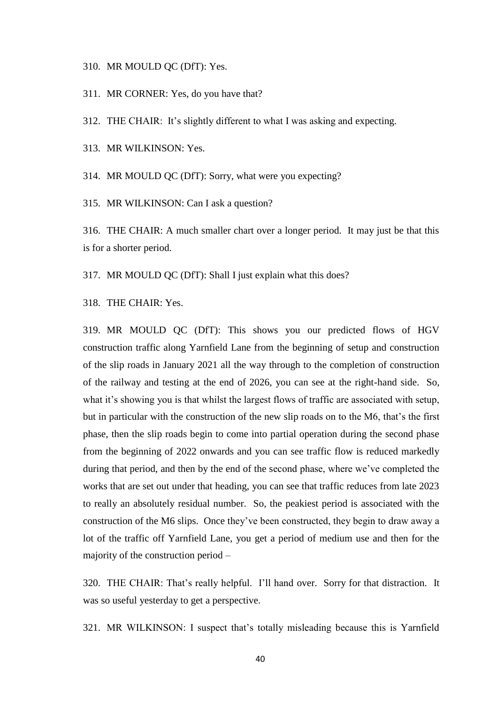### 310. MR MOULD QC (DfT): Yes.

311. MR CORNER: Yes, do you have that?

312. THE CHAIR: It's slightly different to what I was asking and expecting.

313. MR WILKINSON: Yes.

314. MR MOULD QC (DfT): Sorry, what were you expecting?

315. MR WILKINSON: Can I ask a question?

316. THE CHAIR: A much smaller chart over a longer period. It may just be that this is for a shorter period.

317. MR MOULD QC (DfT): Shall I just explain what this does?

318. THE CHAIR: Yes.

319. MR MOULD QC (DfT): This shows you our predicted flows of HGV construction traffic along Yarnfield Lane from the beginning of setup and construction of the slip roads in January 2021 all the way through to the completion of construction of the railway and testing at the end of 2026, you can see at the right-hand side. So, what it's showing you is that whilst the largest flows of traffic are associated with setup, but in particular with the construction of the new slip roads on to the M6, that's the first phase, then the slip roads begin to come into partial operation during the second phase from the beginning of 2022 onwards and you can see traffic flow is reduced markedly during that period, and then by the end of the second phase, where we've completed the works that are set out under that heading, you can see that traffic reduces from late 2023 to really an absolutely residual number. So, the peakiest period is associated with the construction of the M6 slips. Once they've been constructed, they begin to draw away a lot of the traffic off Yarnfield Lane, you get a period of medium use and then for the majority of the construction period –

320. THE CHAIR: That's really helpful. I'll hand over. Sorry for that distraction. It was so useful yesterday to get a perspective.

321. MR WILKINSON: I suspect that's totally misleading because this is Yarnfield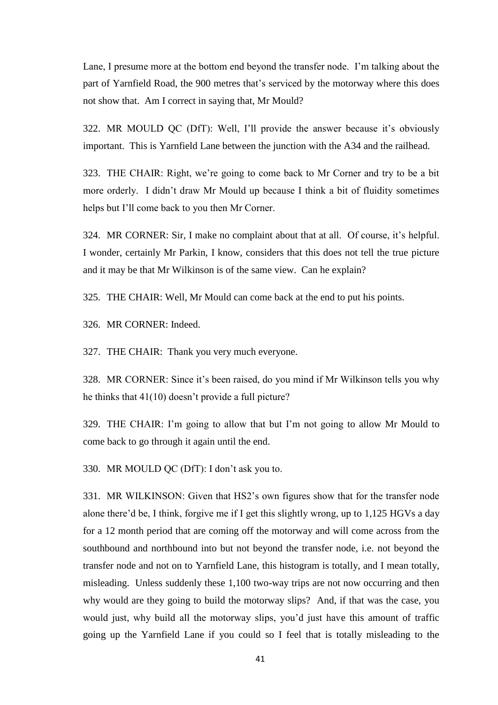Lane, I presume more at the bottom end beyond the transfer node. I'm talking about the part of Yarnfield Road, the 900 metres that's serviced by the motorway where this does not show that. Am I correct in saying that, Mr Mould?

322. MR MOULD QC (DfT): Well, I'll provide the answer because it's obviously important. This is Yarnfield Lane between the junction with the A34 and the railhead.

323. THE CHAIR: Right, we're going to come back to Mr Corner and try to be a bit more orderly. I didn't draw Mr Mould up because I think a bit of fluidity sometimes helps but I'll come back to you then Mr Corner.

324. MR CORNER: Sir, I make no complaint about that at all. Of course, it's helpful. I wonder, certainly Mr Parkin, I know, considers that this does not tell the true picture and it may be that Mr Wilkinson is of the same view. Can he explain?

325. THE CHAIR: Well, Mr Mould can come back at the end to put his points.

326. MR CORNER: Indeed.

327. THE CHAIR: Thank you very much everyone.

328. MR CORNER: Since it's been raised, do you mind if Mr Wilkinson tells you why he thinks that 41(10) doesn't provide a full picture?

329. THE CHAIR: I'm going to allow that but I'm not going to allow Mr Mould to come back to go through it again until the end.

330. MR MOULD QC (DfT): I don't ask you to.

331. MR WILKINSON: Given that HS2's own figures show that for the transfer node alone there'd be, I think, forgive me if I get this slightly wrong, up to 1,125 HGVs a day for a 12 month period that are coming off the motorway and will come across from the southbound and northbound into but not beyond the transfer node, i.e. not beyond the transfer node and not on to Yarnfield Lane, this histogram is totally, and I mean totally, misleading. Unless suddenly these 1,100 two-way trips are not now occurring and then why would are they going to build the motorway slips? And, if that was the case, you would just, why build all the motorway slips, you'd just have this amount of traffic going up the Yarnfield Lane if you could so I feel that is totally misleading to the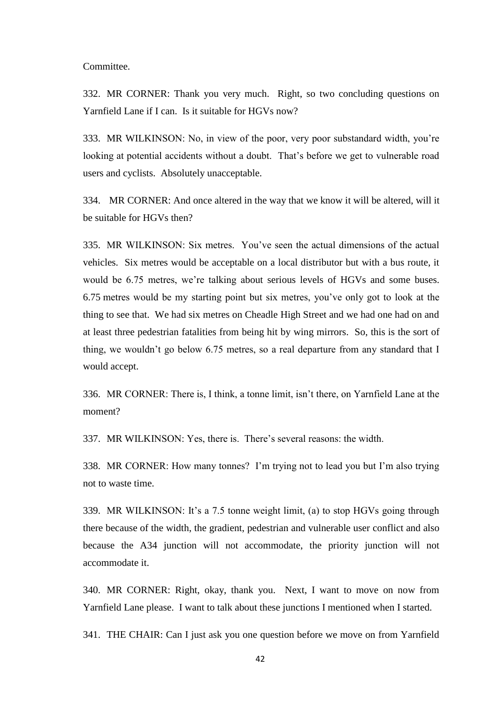Committee.

332. MR CORNER: Thank you very much. Right, so two concluding questions on Yarnfield Lane if I can. Is it suitable for HGVs now?

333. MR WILKINSON: No, in view of the poor, very poor substandard width, you're looking at potential accidents without a doubt. That's before we get to vulnerable road users and cyclists. Absolutely unacceptable.

334. MR CORNER: And once altered in the way that we know it will be altered, will it be suitable for HGVs then?

335. MR WILKINSON: Six metres. You've seen the actual dimensions of the actual vehicles. Six metres would be acceptable on a local distributor but with a bus route, it would be 6.75 metres, we're talking about serious levels of HGVs and some buses. 6.75 metres would be my starting point but six metres, you've only got to look at the thing to see that. We had six metres on Cheadle High Street and we had one had on and at least three pedestrian fatalities from being hit by wing mirrors. So, this is the sort of thing, we wouldn't go below 6.75 metres, so a real departure from any standard that I would accept.

336. MR CORNER: There is, I think, a tonne limit, isn't there, on Yarnfield Lane at the moment?

337. MR WILKINSON: Yes, there is. There's several reasons: the width.

338. MR CORNER: How many tonnes? I'm trying not to lead you but I'm also trying not to waste time.

339. MR WILKINSON: It's a 7.5 tonne weight limit, (a) to stop HGVs going through there because of the width, the gradient, pedestrian and vulnerable user conflict and also because the A34 junction will not accommodate, the priority junction will not accommodate it.

340. MR CORNER: Right, okay, thank you. Next, I want to move on now from Yarnfield Lane please. I want to talk about these junctions I mentioned when I started.

341. THE CHAIR: Can I just ask you one question before we move on from Yarnfield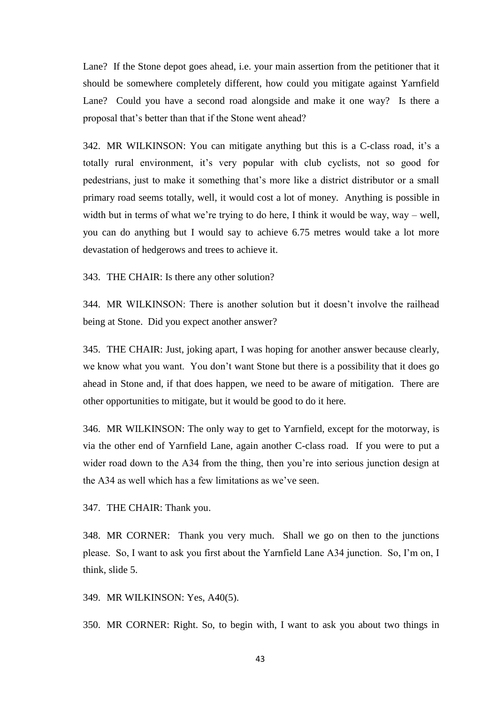Lane? If the Stone depot goes ahead, i.e. your main assertion from the petitioner that it should be somewhere completely different, how could you mitigate against Yarnfield Lane? Could you have a second road alongside and make it one way? Is there a proposal that's better than that if the Stone went ahead?

342. MR WILKINSON: You can mitigate anything but this is a C-class road, it's a totally rural environment, it's very popular with club cyclists, not so good for pedestrians, just to make it something that's more like a district distributor or a small primary road seems totally, well, it would cost a lot of money. Anything is possible in width but in terms of what we're trying to do here, I think it would be way, way – well, you can do anything but I would say to achieve 6.75 metres would take a lot more devastation of hedgerows and trees to achieve it.

343. THE CHAIR: Is there any other solution?

344. MR WILKINSON: There is another solution but it doesn't involve the railhead being at Stone. Did you expect another answer?

345. THE CHAIR: Just, joking apart, I was hoping for another answer because clearly, we know what you want. You don't want Stone but there is a possibility that it does go ahead in Stone and, if that does happen, we need to be aware of mitigation. There are other opportunities to mitigate, but it would be good to do it here.

346. MR WILKINSON: The only way to get to Yarnfield, except for the motorway, is via the other end of Yarnfield Lane, again another C-class road. If you were to put a wider road down to the A34 from the thing, then you're into serious junction design at the A34 as well which has a few limitations as we've seen.

347. THE CHAIR: Thank you.

348. MR CORNER: Thank you very much. Shall we go on then to the junctions please. So, I want to ask you first about the Yarnfield Lane A34 junction. So, I'm on, I think, slide 5.

349. MR WILKINSON: Yes, A40(5).

350. MR CORNER: Right. So, to begin with, I want to ask you about two things in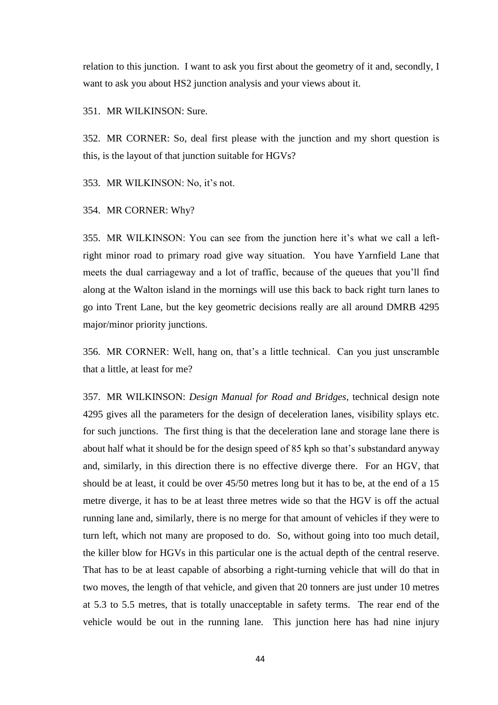relation to this junction. I want to ask you first about the geometry of it and, secondly, I want to ask you about HS2 junction analysis and your views about it.

351. MR WILKINSON: Sure.

352. MR CORNER: So, deal first please with the junction and my short question is this, is the layout of that junction suitable for HGVs?

353. MR WILKINSON: No, it's not.

354. MR CORNER: Why?

355. MR WILKINSON: You can see from the junction here it's what we call a leftright minor road to primary road give way situation. You have Yarnfield Lane that meets the dual carriageway and a lot of traffic, because of the queues that you'll find along at the Walton island in the mornings will use this back to back right turn lanes to go into Trent Lane, but the key geometric decisions really are all around DMRB 4295 major/minor priority junctions.

356. MR CORNER: Well, hang on, that's a little technical. Can you just unscramble that a little, at least for me?

357. MR WILKINSON: *Design Manual for Road and Bridges*, technical design note 4295 gives all the parameters for the design of deceleration lanes, visibility splays etc. for such junctions. The first thing is that the deceleration lane and storage lane there is about half what it should be for the design speed of 85 kph so that's substandard anyway and, similarly, in this direction there is no effective diverge there. For an HGV, that should be at least, it could be over 45/50 metres long but it has to be, at the end of a 15 metre diverge, it has to be at least three metres wide so that the HGV is off the actual running lane and, similarly, there is no merge for that amount of vehicles if they were to turn left, which not many are proposed to do. So, without going into too much detail, the killer blow for HGVs in this particular one is the actual depth of the central reserve. That has to be at least capable of absorbing a right-turning vehicle that will do that in two moves, the length of that vehicle, and given that 20 tonners are just under 10 metres at 5.3 to 5.5 metres, that is totally unacceptable in safety terms. The rear end of the vehicle would be out in the running lane. This junction here has had nine injury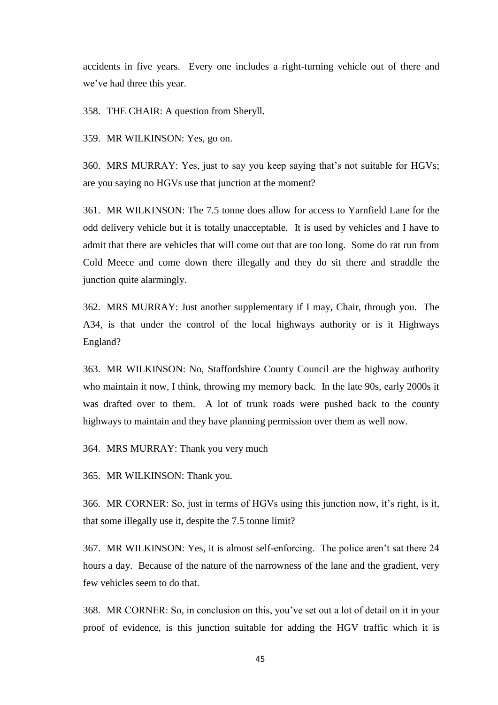accidents in five years. Every one includes a right-turning vehicle out of there and we've had three this year.

358. THE CHAIR: A question from Sheryll.

359. MR WILKINSON: Yes, go on.

360. MRS MURRAY: Yes, just to say you keep saying that's not suitable for HGVs; are you saying no HGVs use that junction at the moment?

361. MR WILKINSON: The 7.5 tonne does allow for access to Yarnfield Lane for the odd delivery vehicle but it is totally unacceptable. It is used by vehicles and I have to admit that there are vehicles that will come out that are too long. Some do rat run from Cold Meece and come down there illegally and they do sit there and straddle the junction quite alarmingly.

362. MRS MURRAY: Just another supplementary if I may, Chair, through you. The A34, is that under the control of the local highways authority or is it Highways England?

363. MR WILKINSON: No, Staffordshire County Council are the highway authority who maintain it now, I think, throwing my memory back. In the late 90s, early 2000s it was drafted over to them. A lot of trunk roads were pushed back to the county highways to maintain and they have planning permission over them as well now.

364. MRS MURRAY: Thank you very much

365. MR WILKINSON: Thank you.

366. MR CORNER: So, just in terms of HGVs using this junction now, it's right, is it, that some illegally use it, despite the 7.5 tonne limit?

367. MR WILKINSON: Yes, it is almost self-enforcing. The police aren't sat there 24 hours a day. Because of the nature of the narrowness of the lane and the gradient, very few vehicles seem to do that.

368. MR CORNER: So, in conclusion on this, you've set out a lot of detail on it in your proof of evidence, is this junction suitable for adding the HGV traffic which it is